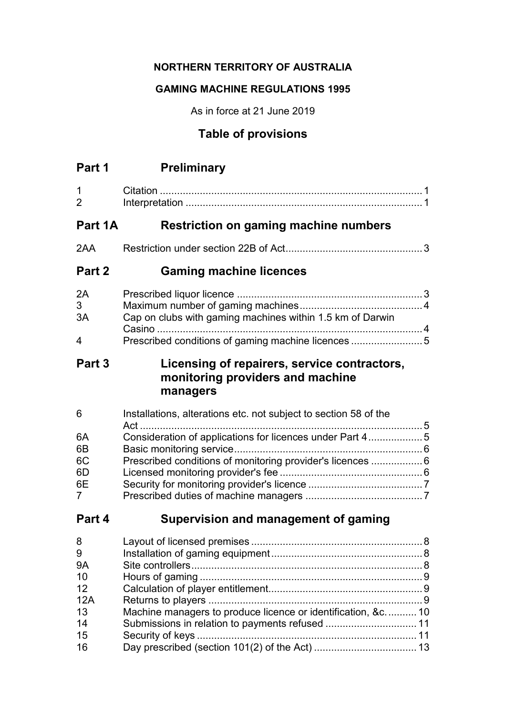# **NORTHERN TERRITORY OF AUSTRALIA**

## **GAMING MACHINE REGULATIONS 1995**

As in force at 21 June 2019

# **Table of provisions**

| Part 1 | <b>Preliminary</b> |
|--------|--------------------|
|        |                    |

| Part 2                        | <b>Gaming machine licences</b>        |  |
|-------------------------------|---------------------------------------|--|
| 2AA                           |                                       |  |
| Part 1A                       | Restriction on gaming machine numbers |  |
| $\overline{1}$<br>$2^{\circ}$ |                                       |  |

| 2A          |                                                           |  |
|-------------|-----------------------------------------------------------|--|
| 3           |                                                           |  |
| 3A          | Cap on clubs with gaming machines within 1.5 km of Darwin |  |
|             |                                                           |  |
| $\mathbf 4$ |                                                           |  |

# **Part 3 Licensing of repairers, service contractors, monitoring providers and machine managers**

| 6              | Installations, alterations etc. not subject to section 58 of the |  |
|----------------|------------------------------------------------------------------|--|
| 6A             | Consideration of applications for licences under Part 45         |  |
| 6B             |                                                                  |  |
| 6C             | Prescribed conditions of monitoring provider's licences  6       |  |
| 6D             |                                                                  |  |
| 6E             |                                                                  |  |
| $\overline{7}$ |                                                                  |  |

# **Part 4 Supervision and management of gaming**

| 8         |                                                             |  |
|-----------|-------------------------------------------------------------|--|
| 9         |                                                             |  |
| <b>9A</b> |                                                             |  |
| 10        |                                                             |  |
| 12        |                                                             |  |
| 12A       |                                                             |  |
| 13        | Machine managers to produce licence or identification, &c10 |  |
| 14        |                                                             |  |
| 15        |                                                             |  |
| 16        |                                                             |  |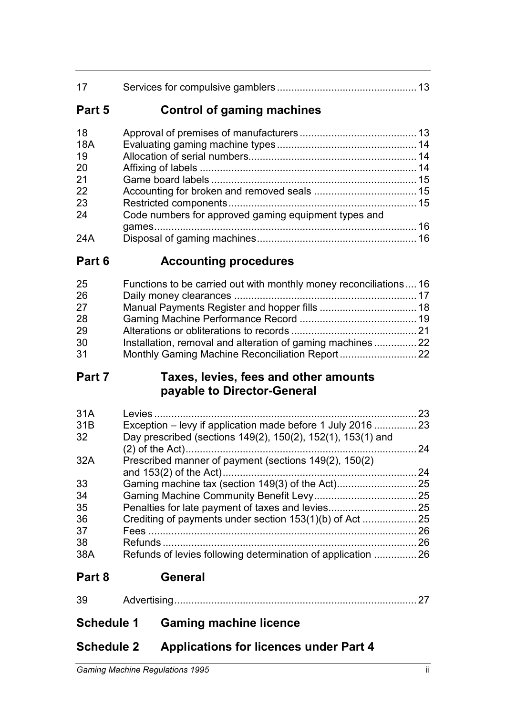| 17 |  |
|----|--|
|    |  |

# **Part 5 Control of gaming machines**

| 18         |                                                      |  |
|------------|------------------------------------------------------|--|
| <b>18A</b> |                                                      |  |
| 19         |                                                      |  |
| 20         |                                                      |  |
| 21         |                                                      |  |
| 22         |                                                      |  |
| 23         |                                                      |  |
| 24         | Code numbers for approved gaming equipment types and |  |
|            |                                                      |  |
| 24A        |                                                      |  |

# **Part 6 Accounting procedures**

| 25 | Functions to be carried out with monthly money reconciliations  16 |  |
|----|--------------------------------------------------------------------|--|
| 26 |                                                                    |  |
| 27 |                                                                    |  |
| 28 |                                                                    |  |
| 29 |                                                                    |  |
| 30 | Installation, removal and alteration of gaming machines            |  |
| 31 |                                                                    |  |

# **Part 7 Taxes, levies, fees and other amounts payable to Director-General**

| 23 |
|----|
|    |
| 24 |
|    |
| 24 |
| 25 |
| 25 |
| 25 |
| 25 |
| 26 |
| 26 |
| 26 |
|    |

# **Part 8 General**

**Schedule 1 Gaming machine licence**

# **Schedule 2 Applications for licences under Part 4**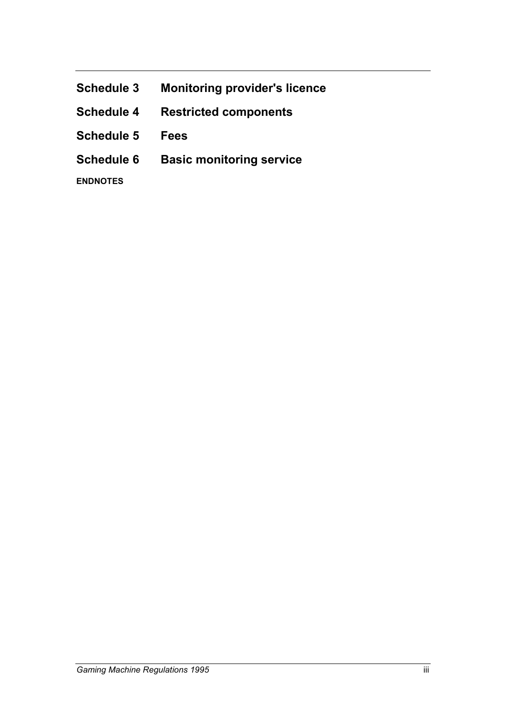| <b>Schedule 3</b> | <b>Monitoring provider's licence</b> |
|-------------------|--------------------------------------|
|-------------------|--------------------------------------|

- **Schedule 4 Restricted components**
- **Schedule 5 Fees**
- **Schedule 6 Basic monitoring service**

**ENDNOTES**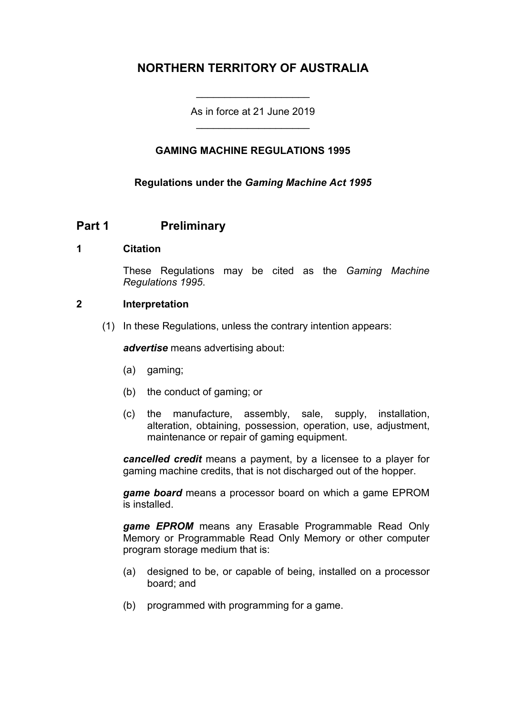# **NORTHERN TERRITORY OF AUSTRALIA**

As in force at 21 June 2019 \_\_\_\_\_\_\_\_\_\_\_\_\_\_\_\_\_\_\_\_

\_\_\_\_\_\_\_\_\_\_\_\_\_\_\_\_\_\_\_\_

## **GAMING MACHINE REGULATIONS 1995**

**Regulations under the** *Gaming Machine Act 1995*

# **Part 1 Preliminary**

#### **1 Citation**

These Regulations may be cited as the *Gaming Machine Regulations 1995*.

#### **2 Interpretation**

(1) In these Regulations, unless the contrary intention appears:

*advertise* means advertising about:

- (a) gaming;
- (b) the conduct of gaming; or
- (c) the manufacture, assembly, sale, supply, installation, alteration, obtaining, possession, operation, use, adjustment, maintenance or repair of gaming equipment.

*cancelled credit* means a payment, by a licensee to a player for gaming machine credits, that is not discharged out of the hopper.

*game board* means a processor board on which a game EPROM is installed.

*game EPROM* means any Erasable Programmable Read Only Memory or Programmable Read Only Memory or other computer program storage medium that is:

- (a) designed to be, or capable of being, installed on a processor board; and
- (b) programmed with programming for a game.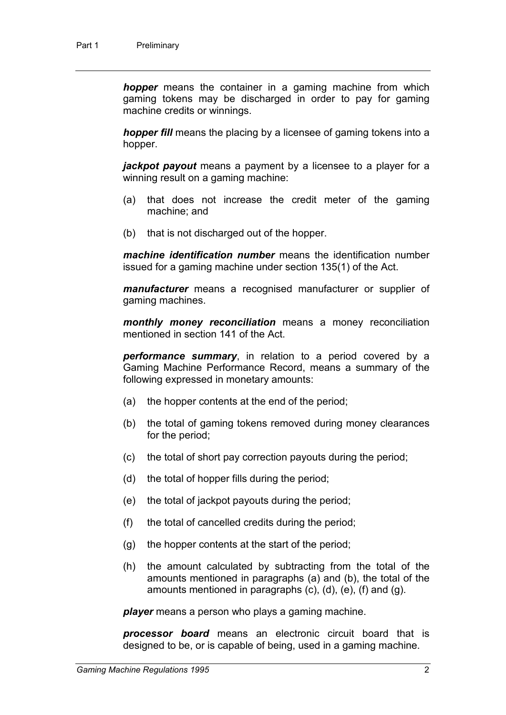*hopper* means the container in a gaming machine from which gaming tokens may be discharged in order to pay for gaming machine credits or winnings.

*hopper fill* means the placing by a licensee of gaming tokens into a hopper.

*jackpot payout* means a payment by a licensee to a player for a winning result on a gaming machine:

- (a) that does not increase the credit meter of the gaming machine; and
- (b) that is not discharged out of the hopper.

*machine identification number* means the identification number issued for a gaming machine under section 135(1) of the Act.

*manufacturer* means a recognised manufacturer or supplier of gaming machines.

*monthly money reconciliation* means a money reconciliation mentioned in section 141 of the Act.

*performance summary*, in relation to a period covered by a Gaming Machine Performance Record, means a summary of the following expressed in monetary amounts:

- (a) the hopper contents at the end of the period;
- (b) the total of gaming tokens removed during money clearances for the period;
- (c) the total of short pay correction payouts during the period;
- (d) the total of hopper fills during the period;
- (e) the total of jackpot payouts during the period;
- (f) the total of cancelled credits during the period;
- (g) the hopper contents at the start of the period;
- (h) the amount calculated by subtracting from the total of the amounts mentioned in paragraphs (a) and (b), the total of the amounts mentioned in paragraphs (c), (d), (e), (f) and (g).

*player* means a person who plays a gaming machine.

*processor board* means an electronic circuit board that is designed to be, or is capable of being, used in a gaming machine.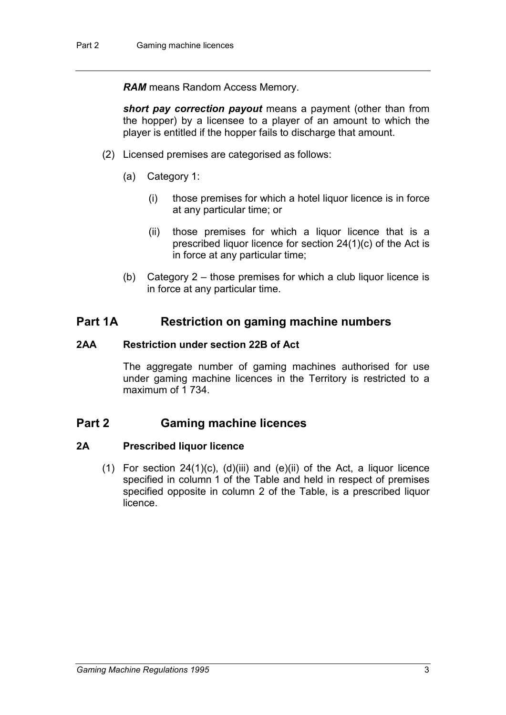*RAM* means Random Access Memory.

*short pay correction payout* means a payment (other than from the hopper) by a licensee to a player of an amount to which the player is entitled if the hopper fails to discharge that amount.

- (2) Licensed premises are categorised as follows:
	- (a) Category 1:
		- (i) those premises for which a hotel liquor licence is in force at any particular time; or
		- (ii) those premises for which a liquor licence that is a prescribed liquor licence for section 24(1)(c) of the Act is in force at any particular time;
	- (b) Category 2 those premises for which a club liquor licence is in force at any particular time.

## **Part 1A Restriction on gaming machine numbers**

#### **2AA Restriction under section 22B of Act**

The aggregate number of gaming machines authorised for use under gaming machine licences in the Territory is restricted to a maximum of 1 734.

## **Part 2 Gaming machine licences**

#### **2A Prescribed liquor licence**

(1) For section  $24(1)(c)$ ,  $(d)(iii)$  and  $(e)(ii)$  of the Act, a liquor licence specified in column 1 of the Table and held in respect of premises specified opposite in column 2 of the Table, is a prescribed liquor licence.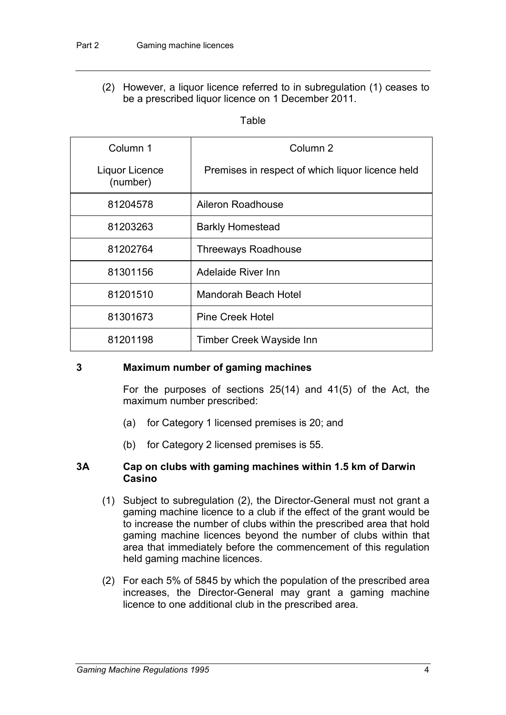(2) However, a liquor licence referred to in subregulation (1) ceases to be a prescribed liquor licence on 1 December 2011.

**Table** 

| Column 1                   | Column 2                                         |
|----------------------------|--------------------------------------------------|
| Liquor Licence<br>(number) | Premises in respect of which liquor licence held |
| 81204578                   | Aileron Roadhouse                                |
| 81203263                   | <b>Barkly Homestead</b>                          |
| 81202764                   | <b>Threeways Roadhouse</b>                       |
| 81301156                   | <b>Adelaide River Inn</b>                        |
| 81201510                   | Mandorah Beach Hotel                             |
| 81301673                   | <b>Pine Creek Hotel</b>                          |
| 81201198                   | <b>Timber Creek Wayside Inn</b>                  |

#### **3 Maximum number of gaming machines**

For the purposes of sections 25(14) and 41(5) of the Act, the maximum number prescribed:

- (a) for Category 1 licensed premises is 20; and
- (b) for Category 2 licensed premises is 55.

#### **3A Cap on clubs with gaming machines within 1.5 km of Darwin Casino**

- (1) Subject to subregulation (2), the Director-General must not grant a gaming machine licence to a club if the effect of the grant would be to increase the number of clubs within the prescribed area that hold gaming machine licences beyond the number of clubs within that area that immediately before the commencement of this regulation held gaming machine licences.
- (2) For each 5% of 5845 by which the population of the prescribed area increases, the Director-General may grant a gaming machine licence to one additional club in the prescribed area.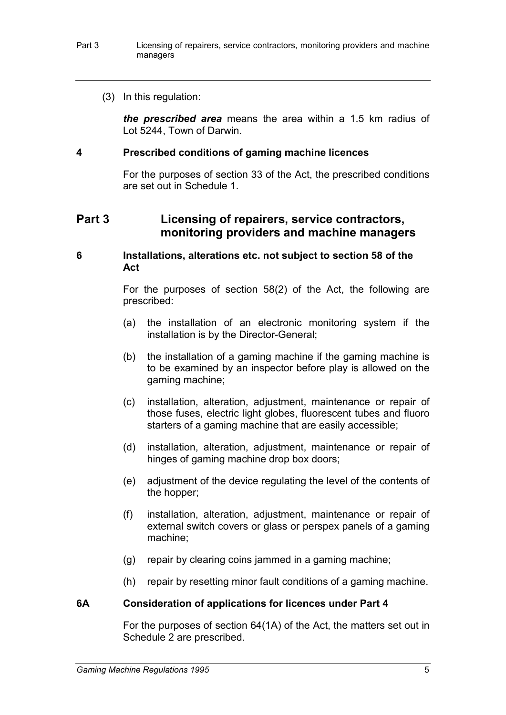(3) In this regulation:

*the prescribed area* means the area within a 1.5 km radius of Lot 5244, Town of Darwin.

#### **4 Prescribed conditions of gaming machine licences**

For the purposes of section 33 of the Act, the prescribed conditions are set out in Schedule 1.

## **Part 3 Licensing of repairers, service contractors, monitoring providers and machine managers**

#### **6 Installations, alterations etc. not subject to section 58 of the Act**

For the purposes of section 58(2) of the Act, the following are prescribed:

- (a) the installation of an electronic monitoring system if the installation is by the Director-General;
- (b) the installation of a gaming machine if the gaming machine is to be examined by an inspector before play is allowed on the gaming machine;
- (c) installation, alteration, adjustment, maintenance or repair of those fuses, electric light globes, fluorescent tubes and fluoro starters of a gaming machine that are easily accessible;
- (d) installation, alteration, adjustment, maintenance or repair of hinges of gaming machine drop box doors;
- (e) adjustment of the device regulating the level of the contents of the hopper;
- (f) installation, alteration, adjustment, maintenance or repair of external switch covers or glass or perspex panels of a gaming machine;
- (g) repair by clearing coins jammed in a gaming machine;
- (h) repair by resetting minor fault conditions of a gaming machine.

#### **6A Consideration of applications for licences under Part 4**

For the purposes of section 64(1A) of the Act, the matters set out in Schedule 2 are prescribed.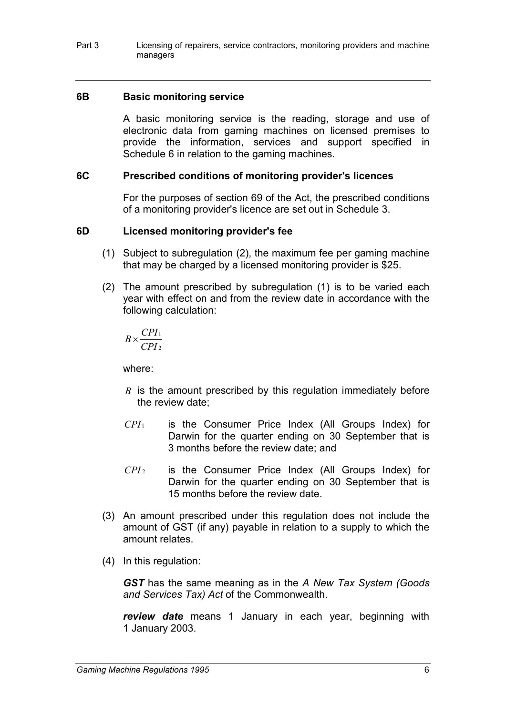Part 3 Licensing of repairers, service contractors, monitoring providers and machine managers

#### **6B Basic monitoring service**

A basic monitoring service is the reading, storage and use of electronic data from gaming machines on licensed premises to provide the information, services and support specified in Schedule 6 in relation to the gaming machines.

#### **6C Prescribed conditions of monitoring provider's licences**

For the purposes of section 69 of the Act, the prescribed conditions of a monitoring provider's licence are set out in Schedule 3.

#### **6D Licensed monitoring provider's fee**

- (1) Subject to subregulation (2), the maximum fee per gaming machine that may be charged by a licensed monitoring provider is \$25.
- (2) The amount prescribed by subregulation (1) is to be varied each year with effect on and from the review date in accordance with the following calculation:

2 1 *CPI*  $B \times \frac{CPI}{CPI}$ 

where:

- *B* is the amount prescribed by this regulation immediately before the review date;
- *CPI* <sup>1</sup> is the Consumer Price Index (All Groups Index) for Darwin for the quarter ending on 30 September that is 3 months before the review date; and
- *CPI* <sup>2</sup> is the Consumer Price Index (All Groups Index) for Darwin for the quarter ending on 30 September that is 15 months before the review date.
- (3) An amount prescribed under this regulation does not include the amount of GST (if any) payable in relation to a supply to which the amount relates.
- (4) In this regulation:

*GST* has the same meaning as in the *A New Tax System (Goods and Services Tax) Act* of the Commonwealth.

*review date* means 1 January in each year, beginning with 1 January 2003.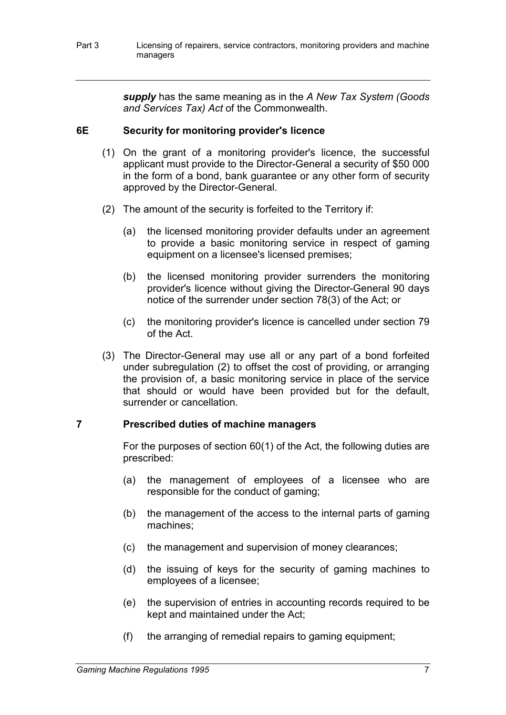*supply* has the same meaning as in the *A New Tax System (Goods and Services Tax) Act* of the Commonwealth.

## **6E Security for monitoring provider's licence**

- (1) On the grant of a monitoring provider's licence, the successful applicant must provide to the Director-General a security of \$50 000 in the form of a bond, bank guarantee or any other form of security approved by the Director-General.
- (2) The amount of the security is forfeited to the Territory if:
	- (a) the licensed monitoring provider defaults under an agreement to provide a basic monitoring service in respect of gaming equipment on a licensee's licensed premises;
	- (b) the licensed monitoring provider surrenders the monitoring provider's licence without giving the Director-General 90 days notice of the surrender under section 78(3) of the Act; or
	- (c) the monitoring provider's licence is cancelled under section 79 of the Act.
- (3) The Director-General may use all or any part of a bond forfeited under subregulation (2) to offset the cost of providing, or arranging the provision of, a basic monitoring service in place of the service that should or would have been provided but for the default, surrender or cancellation.

#### **7 Prescribed duties of machine managers**

For the purposes of section 60(1) of the Act, the following duties are prescribed:

- (a) the management of employees of a licensee who are responsible for the conduct of gaming;
- (b) the management of the access to the internal parts of gaming machines;
- (c) the management and supervision of money clearances;
- (d) the issuing of keys for the security of gaming machines to employees of a licensee;
- (e) the supervision of entries in accounting records required to be kept and maintained under the Act;
- (f) the arranging of remedial repairs to gaming equipment;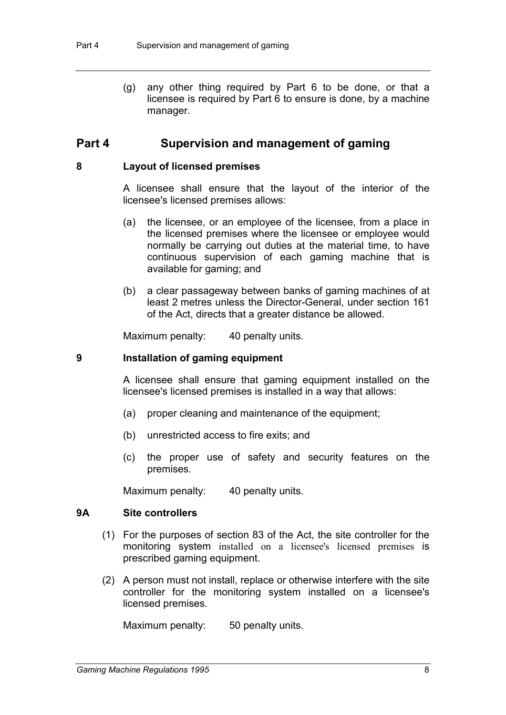(g) any other thing required by Part 6 to be done, or that a licensee is required by Part 6 to ensure is done, by a machine manager.

## **Part 4 Supervision and management of gaming**

#### **8 Layout of licensed premises**

A licensee shall ensure that the layout of the interior of the licensee's licensed premises allows:

- (a) the licensee, or an employee of the licensee, from a place in the licensed premises where the licensee or employee would normally be carrying out duties at the material time, to have continuous supervision of each gaming machine that is available for gaming; and
- (b) a clear passageway between banks of gaming machines of at least 2 metres unless the Director-General, under section 161 of the Act, directs that a greater distance be allowed.

Maximum penalty: 40 penalty units.

#### **9 Installation of gaming equipment**

A licensee shall ensure that gaming equipment installed on the licensee's licensed premises is installed in a way that allows:

- (a) proper cleaning and maintenance of the equipment;
- (b) unrestricted access to fire exits; and
- (c) the proper use of safety and security features on the premises.

Maximum penalty: 40 penalty units.

#### **9A Site controllers**

- (1) For the purposes of section 83 of the Act, the site controller for the monitoring system installed on a licensee's licensed premises is prescribed gaming equipment.
- (2) A person must not install, replace or otherwise interfere with the site controller for the monitoring system installed on a licensee's licensed premises.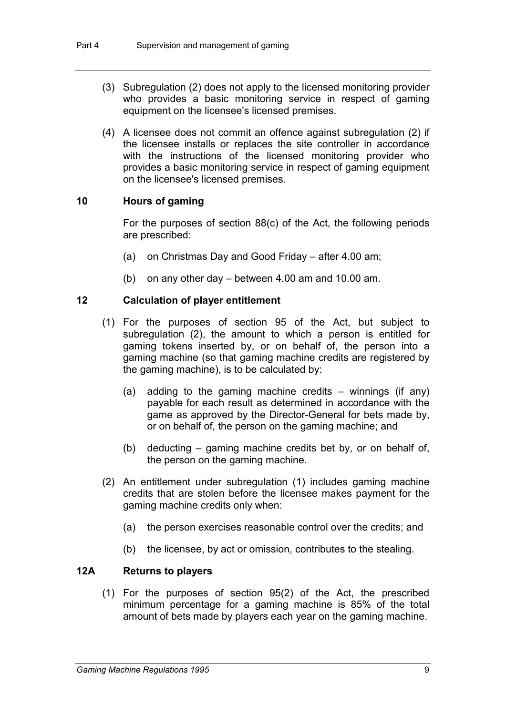- (3) Subregulation (2) does not apply to the licensed monitoring provider who provides a basic monitoring service in respect of gaming equipment on the licensee's licensed premises.
- (4) A licensee does not commit an offence against subregulation (2) if the licensee installs or replaces the site controller in accordance with the instructions of the licensed monitoring provider who provides a basic monitoring service in respect of gaming equipment on the licensee's licensed premises.

## **10 Hours of gaming**

For the purposes of section 88(c) of the Act, the following periods are prescribed:

- (a) on Christmas Day and Good Friday after 4.00 am;
- (b) on any other day between 4.00 am and 10.00 am.

#### **12 Calculation of player entitlement**

- (1) For the purposes of section 95 of the Act, but subject to subregulation (2), the amount to which a person is entitled for gaming tokens inserted by, or on behalf of, the person into a gaming machine (so that gaming machine credits are registered by the gaming machine), is to be calculated by:
	- (a) adding to the gaming machine credits winnings (if any) payable for each result as determined in accordance with the game as approved by the Director-General for bets made by, or on behalf of, the person on the gaming machine; and
	- (b) deducting gaming machine credits bet by, or on behalf of, the person on the gaming machine.
- (2) An entitlement under subregulation (1) includes gaming machine credits that are stolen before the licensee makes payment for the gaming machine credits only when:
	- (a) the person exercises reasonable control over the credits; and
	- (b) the licensee, by act or omission, contributes to the stealing.

#### **12A Returns to players**

(1) For the purposes of section 95(2) of the Act, the prescribed minimum percentage for a gaming machine is 85% of the total amount of bets made by players each year on the gaming machine.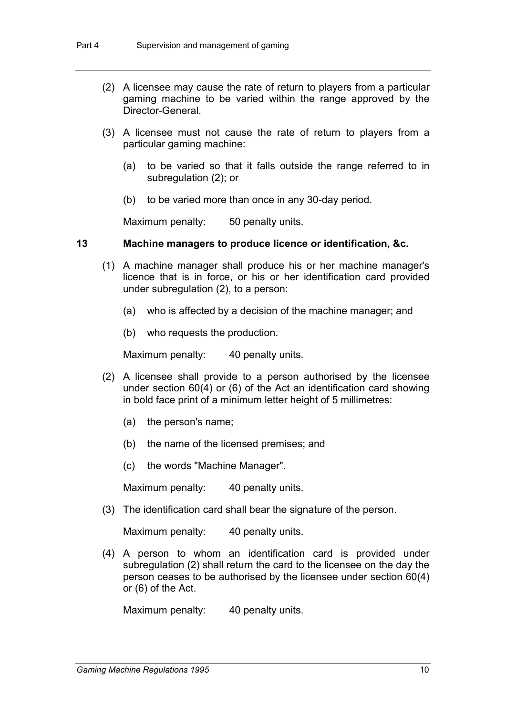- (2) A licensee may cause the rate of return to players from a particular gaming machine to be varied within the range approved by the Director-General.
- (3) A licensee must not cause the rate of return to players from a particular gaming machine:
	- (a) to be varied so that it falls outside the range referred to in subregulation (2); or
	- (b) to be varied more than once in any 30-day period.

Maximum penalty: 50 penalty units.

#### **13 Machine managers to produce licence or identification, &c.**

- (1) A machine manager shall produce his or her machine manager's licence that is in force, or his or her identification card provided under subregulation (2), to a person:
	- (a) who is affected by a decision of the machine manager; and
	- (b) who requests the production.

Maximum penalty: 40 penalty units.

- (2) A licensee shall provide to a person authorised by the licensee under section 60(4) or (6) of the Act an identification card showing in bold face print of a minimum letter height of 5 millimetres:
	- (a) the person's name;
	- (b) the name of the licensed premises; and
	- (c) the words "Machine Manager".

Maximum penalty: 40 penalty units.

(3) The identification card shall bear the signature of the person.

Maximum penalty: 40 penalty units.

(4) A person to whom an identification card is provided under subregulation (2) shall return the card to the licensee on the day the person ceases to be authorised by the licensee under section 60(4) or (6) of the Act.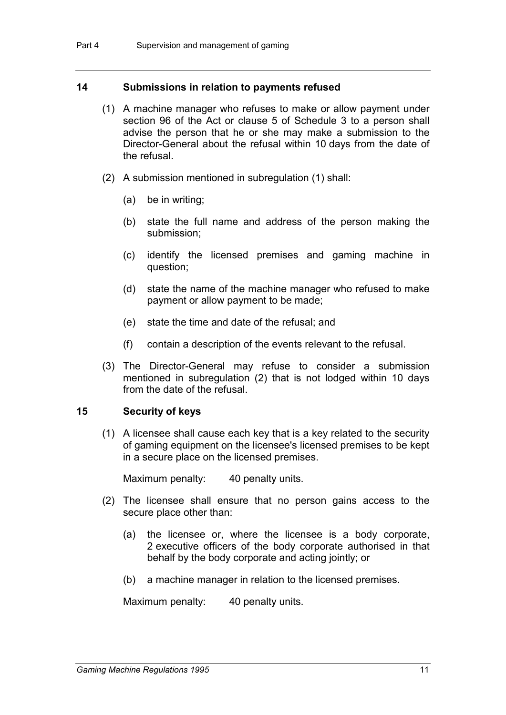#### **14 Submissions in relation to payments refused**

- (1) A machine manager who refuses to make or allow payment under section 96 of the Act or clause 5 of Schedule 3 to a person shall advise the person that he or she may make a submission to the Director-General about the refusal within 10 days from the date of the refusal.
- (2) A submission mentioned in subregulation (1) shall:
	- (a) be in writing;
	- (b) state the full name and address of the person making the submission;
	- (c) identify the licensed premises and gaming machine in question;
	- (d) state the name of the machine manager who refused to make payment or allow payment to be made;
	- (e) state the time and date of the refusal; and
	- (f) contain a description of the events relevant to the refusal.
- (3) The Director-General may refuse to consider a submission mentioned in subregulation (2) that is not lodged within 10 days from the date of the refusal.

#### **15 Security of keys**

(1) A licensee shall cause each key that is a key related to the security of gaming equipment on the licensee's licensed premises to be kept in a secure place on the licensed premises.

Maximum penalty: 40 penalty units.

- (2) The licensee shall ensure that no person gains access to the secure place other than:
	- (a) the licensee or, where the licensee is a body corporate, 2 executive officers of the body corporate authorised in that behalf by the body corporate and acting jointly; or
	- (b) a machine manager in relation to the licensed premises.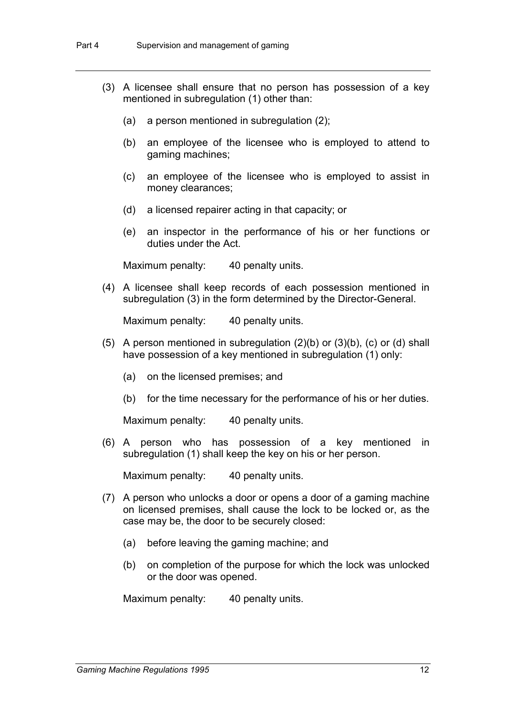- (3) A licensee shall ensure that no person has possession of a key mentioned in subregulation (1) other than:
	- (a) a person mentioned in subregulation (2);
	- (b) an employee of the licensee who is employed to attend to gaming machines;
	- (c) an employee of the licensee who is employed to assist in money clearances;
	- (d) a licensed repairer acting in that capacity; or
	- (e) an inspector in the performance of his or her functions or duties under the Act.

Maximum penalty: 40 penalty units.

(4) A licensee shall keep records of each possession mentioned in subregulation (3) in the form determined by the Director-General.

Maximum penalty: 40 penalty units.

- (5) A person mentioned in subregulation  $(2)(b)$  or  $(3)(b)$ ,  $(c)$  or  $(d)$  shall have possession of a key mentioned in subregulation (1) only:
	- (a) on the licensed premises; and
	- (b) for the time necessary for the performance of his or her duties.

Maximum penalty: 40 penalty units.

(6) A person who has possession of a key mentioned in subregulation (1) shall keep the key on his or her person.

Maximum penalty: 40 penalty units.

- (7) A person who unlocks a door or opens a door of a gaming machine on licensed premises, shall cause the lock to be locked or, as the case may be, the door to be securely closed:
	- (a) before leaving the gaming machine; and
	- (b) on completion of the purpose for which the lock was unlocked or the door was opened.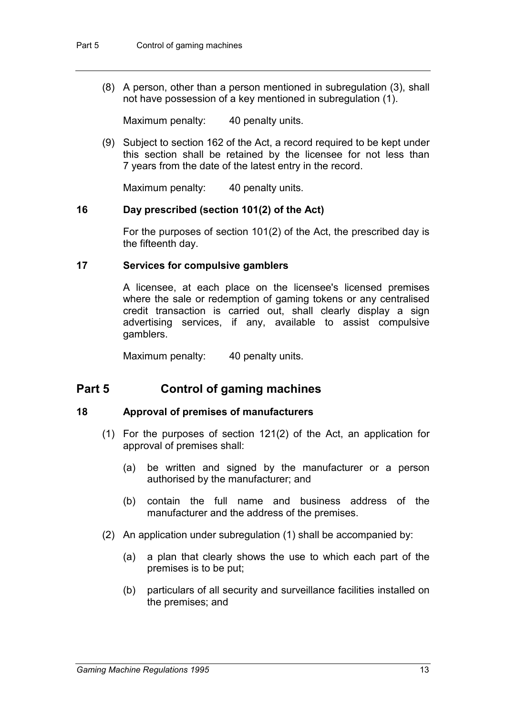(8) A person, other than a person mentioned in subregulation (3), shall not have possession of a key mentioned in subregulation (1).

Maximum penalty: 40 penalty units.

(9) Subject to section 162 of the Act, a record required to be kept under this section shall be retained by the licensee for not less than 7 years from the date of the latest entry in the record.

Maximum penalty: 40 penalty units.

#### **16 Day prescribed (section 101(2) of the Act)**

For the purposes of section 101(2) of the Act, the prescribed day is the fifteenth day.

#### **17 Services for compulsive gamblers**

A licensee, at each place on the licensee's licensed premises where the sale or redemption of gaming tokens or any centralised credit transaction is carried out, shall clearly display a sign advertising services, if any, available to assist compulsive gamblers.

Maximum penalty: 40 penalty units.

# **Part 5 Control of gaming machines**

#### **18 Approval of premises of manufacturers**

- (1) For the purposes of section 121(2) of the Act, an application for approval of premises shall:
	- (a) be written and signed by the manufacturer or a person authorised by the manufacturer; and
	- (b) contain the full name and business address of the manufacturer and the address of the premises.
- (2) An application under subregulation (1) shall be accompanied by:
	- (a) a plan that clearly shows the use to which each part of the premises is to be put;
	- (b) particulars of all security and surveillance facilities installed on the premises; and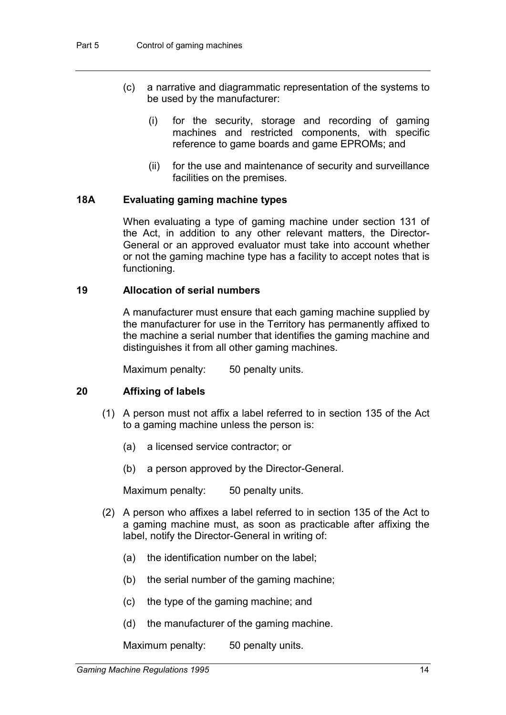- (c) a narrative and diagrammatic representation of the systems to be used by the manufacturer:
	- (i) for the security, storage and recording of gaming machines and restricted components, with specific reference to game boards and game EPROMs; and
	- (ii) for the use and maintenance of security and surveillance facilities on the premises.

## **18A Evaluating gaming machine types**

When evaluating a type of gaming machine under section 131 of the Act, in addition to any other relevant matters, the Director-General or an approved evaluator must take into account whether or not the gaming machine type has a facility to accept notes that is functioning.

#### **19 Allocation of serial numbers**

A manufacturer must ensure that each gaming machine supplied by the manufacturer for use in the Territory has permanently affixed to the machine a serial number that identifies the gaming machine and distinguishes it from all other gaming machines.

Maximum penalty: 50 penalty units.

## **20 Affixing of labels**

- (1) A person must not affix a label referred to in section 135 of the Act to a gaming machine unless the person is:
	- (a) a licensed service contractor; or
	- (b) a person approved by the Director-General.

Maximum penalty: 50 penalty units.

- (2) A person who affixes a label referred to in section 135 of the Act to a gaming machine must, as soon as practicable after affixing the label, notify the Director-General in writing of:
	- (a) the identification number on the label;
	- (b) the serial number of the gaming machine;
	- (c) the type of the gaming machine; and
	- (d) the manufacturer of the gaming machine.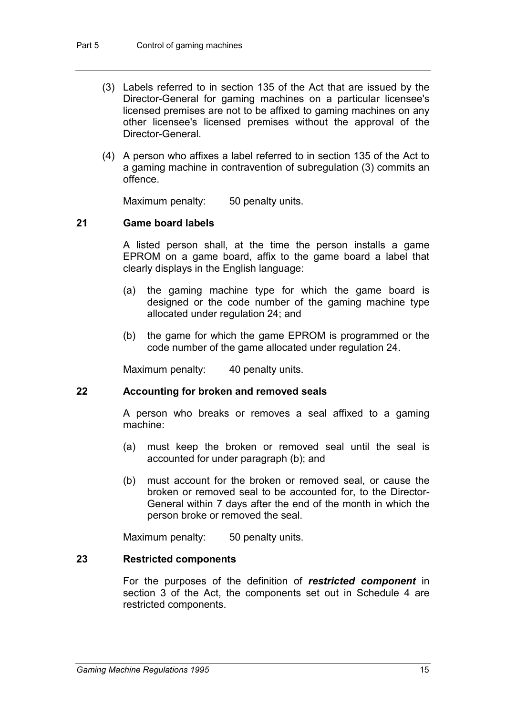- (3) Labels referred to in section 135 of the Act that are issued by the Director-General for gaming machines on a particular licensee's licensed premises are not to be affixed to gaming machines on any other licensee's licensed premises without the approval of the Director-General.
- (4) A person who affixes a label referred to in section 135 of the Act to a gaming machine in contravention of subregulation (3) commits an offence.

Maximum penalty: 50 penalty units.

## **21 Game board labels**

A listed person shall, at the time the person installs a game EPROM on a game board, affix to the game board a label that clearly displays in the English language:

- (a) the gaming machine type for which the game board is designed or the code number of the gaming machine type allocated under regulation 24; and
- (b) the game for which the game EPROM is programmed or the code number of the game allocated under regulation 24.

Maximum penalty: 40 penalty units.

#### **22 Accounting for broken and removed seals**

A person who breaks or removes a seal affixed to a gaming machine:

- (a) must keep the broken or removed seal until the seal is accounted for under paragraph (b); and
- (b) must account for the broken or removed seal, or cause the broken or removed seal to be accounted for, to the Director-General within 7 days after the end of the month in which the person broke or removed the seal.

Maximum penalty: 50 penalty units.

#### **23 Restricted components**

For the purposes of the definition of *restricted component* in section 3 of the Act, the components set out in Schedule 4 are restricted components.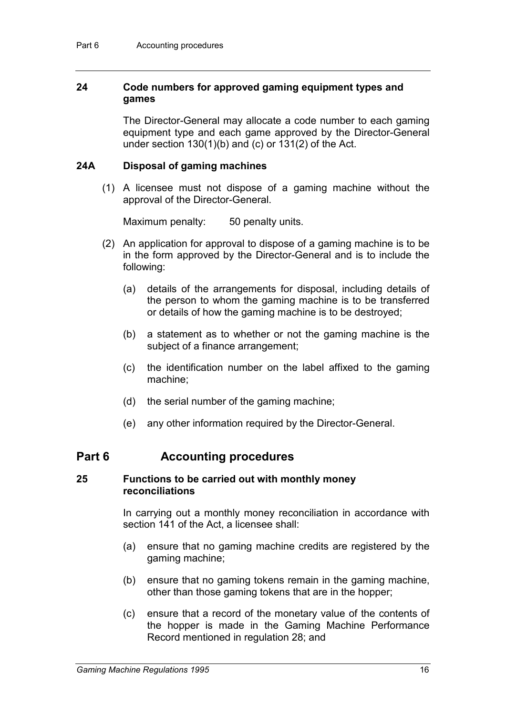## **24 Code numbers for approved gaming equipment types and games**

The Director-General may allocate a code number to each gaming equipment type and each game approved by the Director-General under section 130(1)(b) and (c) or 131(2) of the Act.

#### **24A Disposal of gaming machines**

(1) A licensee must not dispose of a gaming machine without the approval of the Director-General.

Maximum penalty: 50 penalty units.

- (2) An application for approval to dispose of a gaming machine is to be in the form approved by the Director-General and is to include the following:
	- (a) details of the arrangements for disposal, including details of the person to whom the gaming machine is to be transferred or details of how the gaming machine is to be destroyed;
	- (b) a statement as to whether or not the gaming machine is the subject of a finance arrangement;
	- (c) the identification number on the label affixed to the gaming machine;
	- (d) the serial number of the gaming machine;
	- (e) any other information required by the Director-General.

## **Part 6 Accounting procedures**

#### **25 Functions to be carried out with monthly money reconciliations**

In carrying out a monthly money reconciliation in accordance with section 141 of the Act, a licensee shall:

- (a) ensure that no gaming machine credits are registered by the gaming machine;
- (b) ensure that no gaming tokens remain in the gaming machine, other than those gaming tokens that are in the hopper;
- (c) ensure that a record of the monetary value of the contents of the hopper is made in the Gaming Machine Performance Record mentioned in regulation 28; and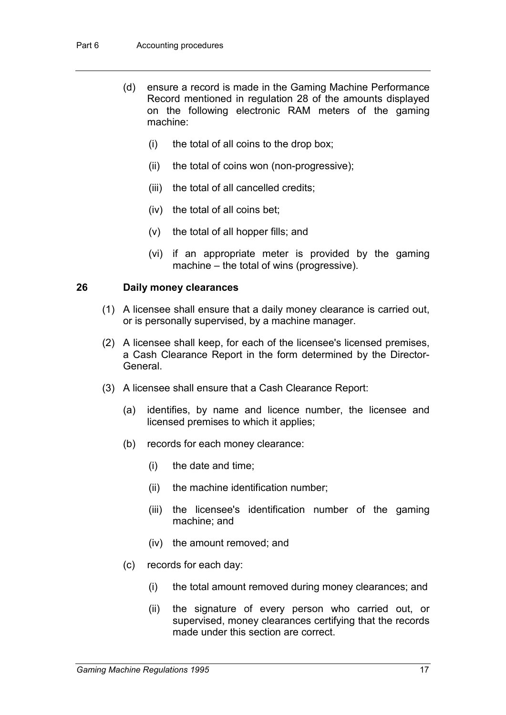- (d) ensure a record is made in the Gaming Machine Performance Record mentioned in regulation 28 of the amounts displayed on the following electronic RAM meters of the gaming machine:
	- (i) the total of all coins to the drop box;
	- (ii) the total of coins won (non-progressive);
	- (iii) the total of all cancelled credits;
	- (iv) the total of all coins bet;
	- (v) the total of all hopper fills; and
	- (vi) if an appropriate meter is provided by the gaming machine – the total of wins (progressive).

## **26 Daily money clearances**

- (1) A licensee shall ensure that a daily money clearance is carried out, or is personally supervised, by a machine manager.
- (2) A licensee shall keep, for each of the licensee's licensed premises, a Cash Clearance Report in the form determined by the Director-General.
- (3) A licensee shall ensure that a Cash Clearance Report:
	- (a) identifies, by name and licence number, the licensee and licensed premises to which it applies;
	- (b) records for each money clearance:
		- (i) the date and time;
		- (ii) the machine identification number;
		- (iii) the licensee's identification number of the gaming machine; and
		- (iv) the amount removed; and
	- (c) records for each day:
		- (i) the total amount removed during money clearances; and
		- (ii) the signature of every person who carried out, or supervised, money clearances certifying that the records made under this section are correct.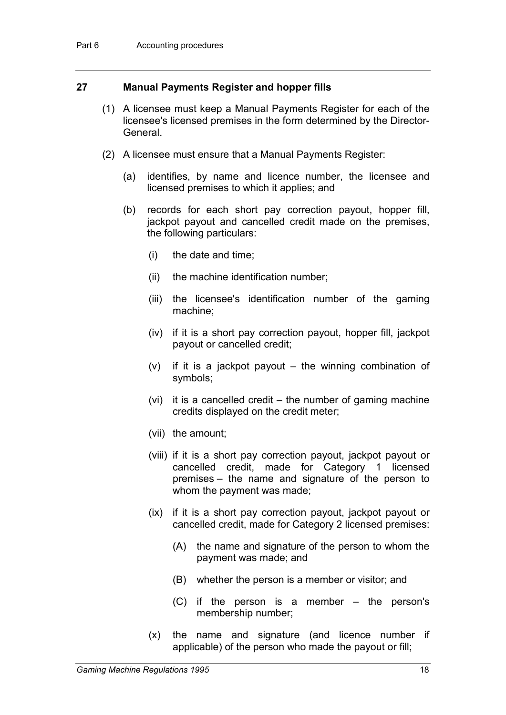## **27 Manual Payments Register and hopper fills**

- (1) A licensee must keep a Manual Payments Register for each of the licensee's licensed premises in the form determined by the Director-General.
- (2) A licensee must ensure that a Manual Payments Register:
	- (a) identifies, by name and licence number, the licensee and licensed premises to which it applies; and
	- (b) records for each short pay correction payout, hopper fill, jackpot payout and cancelled credit made on the premises, the following particulars:
		- (i) the date and time;
		- (ii) the machine identification number;
		- (iii) the licensee's identification number of the gaming machine;
		- (iv) if it is a short pay correction payout, hopper fill, jackpot payout or cancelled credit;
		- (v) if it is a jackpot payout the winning combination of symbols;
		- (vi) it is a cancelled credit the number of gaming machine credits displayed on the credit meter;
		- (vii) the amount;
		- (viii) if it is a short pay correction payout, jackpot payout or cancelled credit, made for Category 1 licensed premises – the name and signature of the person to whom the payment was made;
		- (ix) if it is a short pay correction payout, jackpot payout or cancelled credit, made for Category 2 licensed premises:
			- (A) the name and signature of the person to whom the payment was made; and
			- (B) whether the person is a member or visitor; and
			- (C) if the person is a member the person's membership number;
		- (x) the name and signature (and licence number if applicable) of the person who made the payout or fill;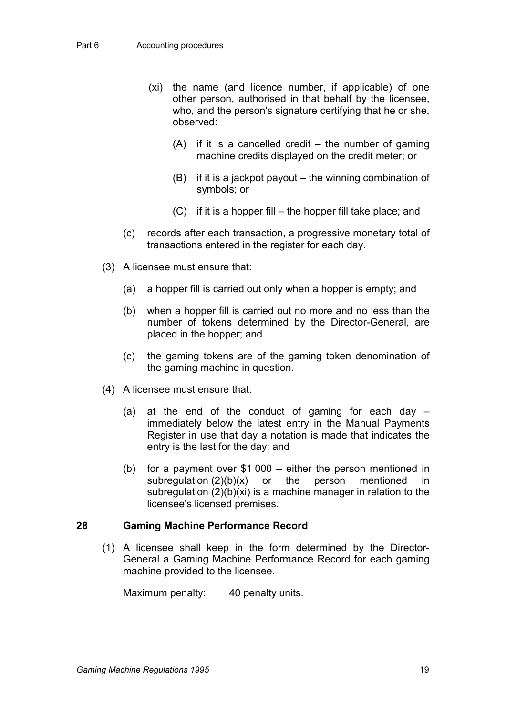- (xi) the name (and licence number, if applicable) of one other person, authorised in that behalf by the licensee, who, and the person's signature certifying that he or she, observed:
	- (A) if it is a cancelled credit the number of gaming machine credits displayed on the credit meter; or
	- (B) if it is a jackpot payout the winning combination of symbols; or
	- (C) if it is a hopper fill the hopper fill take place; and
- (c) records after each transaction, a progressive monetary total of transactions entered in the register for each day.
- (3) A licensee must ensure that:
	- (a) a hopper fill is carried out only when a hopper is empty; and
	- (b) when a hopper fill is carried out no more and no less than the number of tokens determined by the Director-General, are placed in the hopper; and
	- (c) the gaming tokens are of the gaming token denomination of the gaming machine in question.
- (4) A licensee must ensure that:
	- (a) at the end of the conduct of gaming for each day  $$ immediately below the latest entry in the Manual Payments Register in use that day a notation is made that indicates the entry is the last for the day; and
	- (b) for a payment over \$1 000 either the person mentioned in subregulation  $(2)(b)(x)$  or the person mentioned in subregulation (2)(b)(xi) is a machine manager in relation to the licensee's licensed premises.

#### **28 Gaming Machine Performance Record**

(1) A licensee shall keep in the form determined by the Director-General a Gaming Machine Performance Record for each gaming machine provided to the licensee.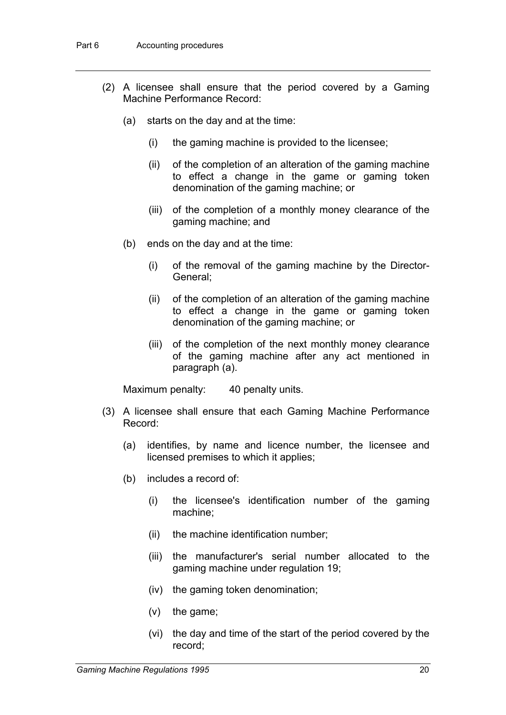- (2) A licensee shall ensure that the period covered by a Gaming Machine Performance Record:
	- (a) starts on the day and at the time:
		- (i) the gaming machine is provided to the licensee;
		- (ii) of the completion of an alteration of the gaming machine to effect a change in the game or gaming token denomination of the gaming machine; or
		- (iii) of the completion of a monthly money clearance of the gaming machine; and
	- (b) ends on the day and at the time:
		- (i) of the removal of the gaming machine by the Director-General;
		- (ii) of the completion of an alteration of the gaming machine to effect a change in the game or gaming token denomination of the gaming machine; or
		- (iii) of the completion of the next monthly money clearance of the gaming machine after any act mentioned in paragraph (a).

- (3) A licensee shall ensure that each Gaming Machine Performance Record:
	- (a) identifies, by name and licence number, the licensee and licensed premises to which it applies;
	- (b) includes a record of:
		- (i) the licensee's identification number of the gaming machine;
		- (ii) the machine identification number;
		- (iii) the manufacturer's serial number allocated to the gaming machine under regulation 19;
		- (iv) the gaming token denomination;
		- (v) the game;
		- (vi) the day and time of the start of the period covered by the record;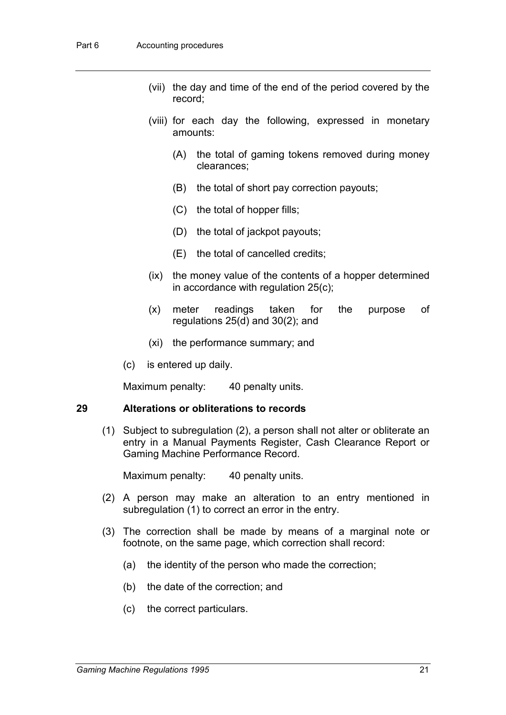- (vii) the day and time of the end of the period covered by the record;
- (viii) for each day the following, expressed in monetary amounts:
	- (A) the total of gaming tokens removed during money clearances;
	- (B) the total of short pay correction payouts;
	- (C) the total of hopper fills;
	- (D) the total of jackpot payouts;
	- (E) the total of cancelled credits;
- (ix) the money value of the contents of a hopper determined in accordance with regulation 25(c);
- (x) meter readings taken for the purpose of regulations 25(d) and 30(2); and
- (xi) the performance summary; and
- (c) is entered up daily.

Maximum penalty: 40 penalty units.

#### **29 Alterations or obliterations to records**

(1) Subject to subregulation (2), a person shall not alter or obliterate an entry in a Manual Payments Register, Cash Clearance Report or Gaming Machine Performance Record.

- (2) A person may make an alteration to an entry mentioned in subregulation (1) to correct an error in the entry.
- (3) The correction shall be made by means of a marginal note or footnote, on the same page, which correction shall record:
	- (a) the identity of the person who made the correction;
	- (b) the date of the correction; and
	- (c) the correct particulars.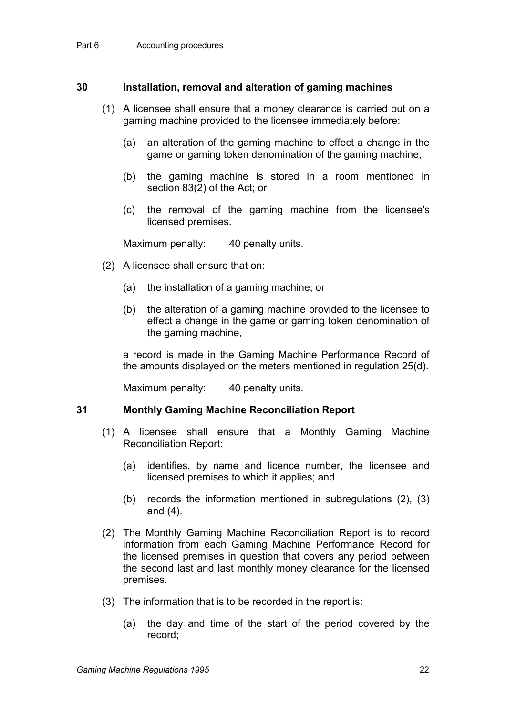#### **30 Installation, removal and alteration of gaming machines**

- (1) A licensee shall ensure that a money clearance is carried out on a gaming machine provided to the licensee immediately before:
	- (a) an alteration of the gaming machine to effect a change in the game or gaming token denomination of the gaming machine;
	- (b) the gaming machine is stored in a room mentioned in section 83(2) of the Act; or
	- (c) the removal of the gaming machine from the licensee's licensed premises.

Maximum penalty: 40 penalty units.

- (2) A licensee shall ensure that on:
	- (a) the installation of a gaming machine; or
	- (b) the alteration of a gaming machine provided to the licensee to effect a change in the game or gaming token denomination of the gaming machine,

a record is made in the Gaming Machine Performance Record of the amounts displayed on the meters mentioned in regulation 25(d).

Maximum penalty: 40 penalty units.

# **31 Monthly Gaming Machine Reconciliation Report**

- (1) A licensee shall ensure that a Monthly Gaming Machine Reconciliation Report:
	- (a) identifies, by name and licence number, the licensee and licensed premises to which it applies; and
	- (b) records the information mentioned in subregulations (2), (3) and (4).
- (2) The Monthly Gaming Machine Reconciliation Report is to record information from each Gaming Machine Performance Record for the licensed premises in question that covers any period between the second last and last monthly money clearance for the licensed premises.
- (3) The information that is to be recorded in the report is:
	- (a) the day and time of the start of the period covered by the record;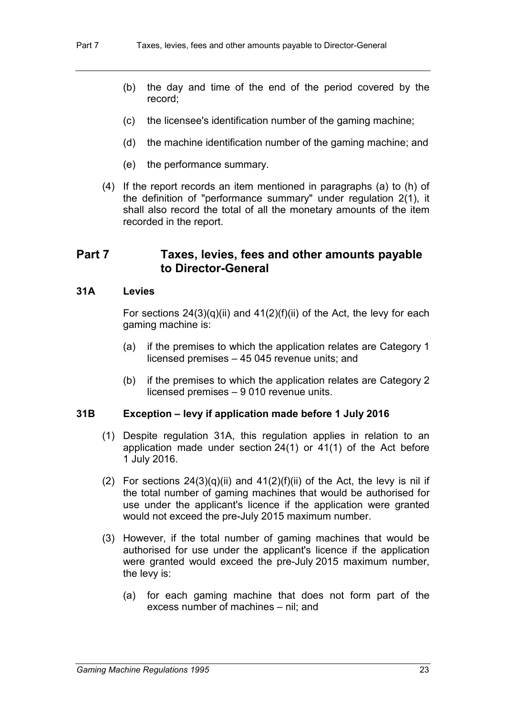- (b) the day and time of the end of the period covered by the record;
- (c) the licensee's identification number of the gaming machine;
- (d) the machine identification number of the gaming machine; and
- (e) the performance summary.
- (4) If the report records an item mentioned in paragraphs (a) to (h) of the definition of "performance summary" under regulation 2(1), it shall also record the total of all the monetary amounts of the item recorded in the report.

## **Part 7 Taxes, levies, fees and other amounts payable to Director-General**

#### **31A Levies**

For sections  $24(3)(q)(ii)$  and  $41(2)(f)(ii)$  of the Act, the levy for each gaming machine is:

- (a) if the premises to which the application relates are Category 1 licensed premises – 45 045 revenue units; and
- (b) if the premises to which the application relates are Category 2 licensed premises – 9 010 revenue units.

#### **31B Exception – levy if application made before 1 July 2016**

- (1) Despite regulation 31A, this regulation applies in relation to an application made under section 24(1) or 41(1) of the Act before 1 July 2016.
- (2) For sections  $24(3)(q)(ii)$  and  $41(2)(f)(ii)$  of the Act, the levy is nil if the total number of gaming machines that would be authorised for use under the applicant's licence if the application were granted would not exceed the pre-July 2015 maximum number.
- (3) However, if the total number of gaming machines that would be authorised for use under the applicant's licence if the application were granted would exceed the pre-July 2015 maximum number, the levy is:
	- (a) for each gaming machine that does not form part of the excess number of machines – nil; and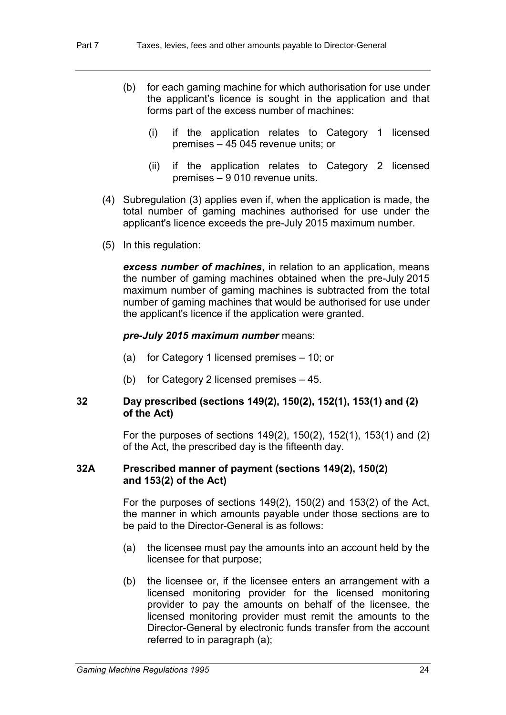- (b) for each gaming machine for which authorisation for use under the applicant's licence is sought in the application and that forms part of the excess number of machines:
	- (i) if the application relates to Category 1 licensed premises – 45 045 revenue units; or
	- (ii) if the application relates to Category 2 licensed premises – 9 010 revenue units.
- (4) Subregulation (3) applies even if, when the application is made, the total number of gaming machines authorised for use under the applicant's licence exceeds the pre-July 2015 maximum number.
- (5) In this regulation:

*excess number of machines*, in relation to an application, means the number of gaming machines obtained when the pre-July 2015 maximum number of gaming machines is subtracted from the total number of gaming machines that would be authorised for use under the applicant's licence if the application were granted.

#### *pre-July 2015 maximum number* means:

- (a) for Category 1 licensed premises 10; or
- (b) for Category 2 licensed premises 45.

#### **32 Day prescribed (sections 149(2), 150(2), 152(1), 153(1) and (2) of the Act)**

For the purposes of sections 149(2), 150(2), 152(1), 153(1) and (2) of the Act, the prescribed day is the fifteenth day.

#### **32A Prescribed manner of payment (sections 149(2), 150(2) and 153(2) of the Act)**

For the purposes of sections 149(2), 150(2) and 153(2) of the Act, the manner in which amounts payable under those sections are to be paid to the Director-General is as follows:

- (a) the licensee must pay the amounts into an account held by the licensee for that purpose;
- (b) the licensee or, if the licensee enters an arrangement with a licensed monitoring provider for the licensed monitoring provider to pay the amounts on behalf of the licensee, the licensed monitoring provider must remit the amounts to the Director-General by electronic funds transfer from the account referred to in paragraph (a);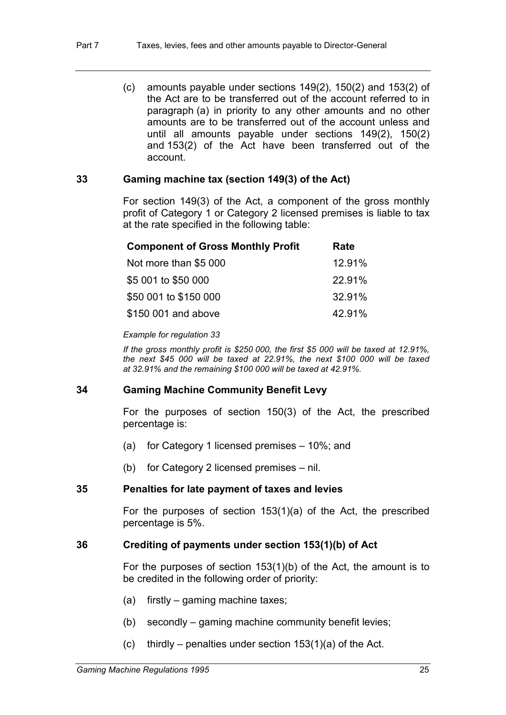(c) amounts payable under sections 149(2), 150(2) and 153(2) of the Act are to be transferred out of the account referred to in paragraph (a) in priority to any other amounts and no other amounts are to be transferred out of the account unless and until all amounts payable under sections 149(2), 150(2) and 153(2) of the Act have been transferred out of the account.

#### **33 Gaming machine tax (section 149(3) of the Act)**

For section 149(3) of the Act, a component of the gross monthly profit of Category 1 or Category 2 licensed premises is liable to tax at the rate specified in the following table:

| <b>Component of Gross Monthly Profit</b> | Rate   |
|------------------------------------------|--------|
| Not more than \$5 000                    | 12.91% |
| \$5 001 to \$50 000                      | 22.91% |
| \$50 001 to \$150 000                    | 32.91% |
| \$150 001 and above                      | 42.91% |

#### *Example for regulation 33*

*If the gross monthly profit is \$250 000, the first \$5 000 will be taxed at 12.91%, the next \$45 000 will be taxed at 22.91%, the next \$100 000 will be taxed at 32.91% and the remaining \$100 000 will be taxed at 42.91%.*

#### **34 Gaming Machine Community Benefit Levy**

For the purposes of section 150(3) of the Act, the prescribed percentage is:

- (a) for Category 1 licensed premises 10%; and
- (b) for Category 2 licensed premises nil.

#### **35 Penalties for late payment of taxes and levies**

For the purposes of section 153(1)(a) of the Act, the prescribed percentage is 5%.

#### **36 Crediting of payments under section 153(1)(b) of Act**

For the purposes of section 153(1)(b) of the Act, the amount is to be credited in the following order of priority:

- (a) firstly gaming machine taxes;
- (b) secondly gaming machine community benefit levies;
- (c) thirdly penalties under section  $153(1)(a)$  of the Act.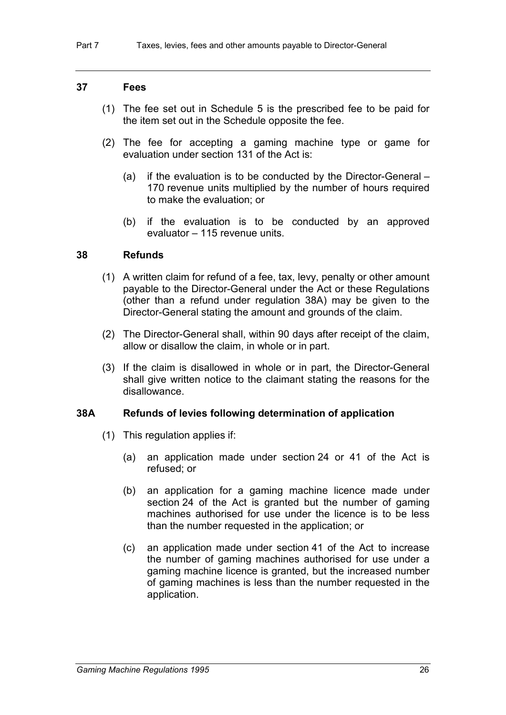#### **37 Fees**

- (1) The fee set out in Schedule 5 is the prescribed fee to be paid for the item set out in the Schedule opposite the fee.
- (2) The fee for accepting a gaming machine type or game for evaluation under section 131 of the Act is:
	- (a) if the evaluation is to be conducted by the Director-General 170 revenue units multiplied by the number of hours required to make the evaluation; or
	- (b) if the evaluation is to be conducted by an approved evaluator – 115 revenue units.

#### **38 Refunds**

- (1) A written claim for refund of a fee, tax, levy, penalty or other amount payable to the Director-General under the Act or these Regulations (other than a refund under regulation 38A) may be given to the Director-General stating the amount and grounds of the claim.
- (2) The Director-General shall, within 90 days after receipt of the claim, allow or disallow the claim, in whole or in part.
- (3) If the claim is disallowed in whole or in part, the Director-General shall give written notice to the claimant stating the reasons for the disallowance.

#### **38A Refunds of levies following determination of application**

- (1) This regulation applies if:
	- (a) an application made under section 24 or 41 of the Act is refused; or
	- (b) an application for a gaming machine licence made under section 24 of the Act is granted but the number of gaming machines authorised for use under the licence is to be less than the number requested in the application; or
	- (c) an application made under section 41 of the Act to increase the number of gaming machines authorised for use under a gaming machine licence is granted, but the increased number of gaming machines is less than the number requested in the application.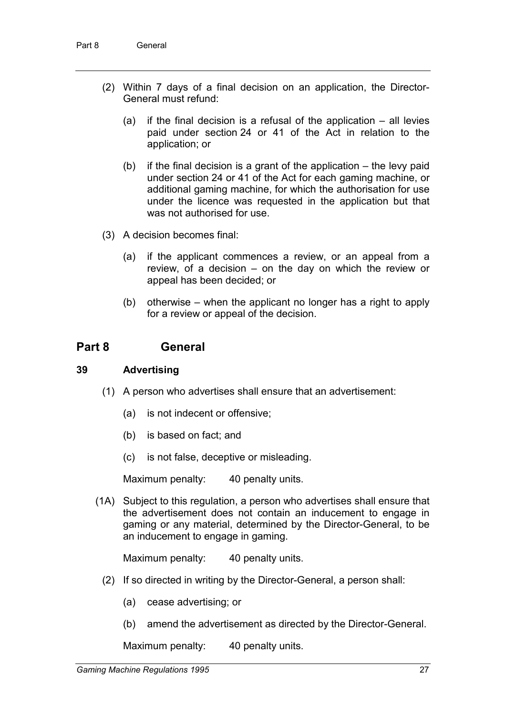- (2) Within 7 days of a final decision on an application, the Director-General must refund:
	- (a) if the final decision is a refusal of the application all levies paid under section 24 or 41 of the Act in relation to the application; or
	- (b) if the final decision is a grant of the application the levy paid under section 24 or 41 of the Act for each gaming machine, or additional gaming machine, for which the authorisation for use under the licence was requested in the application but that was not authorised for use.
- (3) A decision becomes final:
	- (a) if the applicant commences a review, or an appeal from a review, of a decision – on the day on which the review or appeal has been decided; or
	- (b) otherwise when the applicant no longer has a right to apply for a review or appeal of the decision.

## **Part 8 General**

#### **39 Advertising**

- (1) A person who advertises shall ensure that an advertisement:
	- (a) is not indecent or offensive;
	- (b) is based on fact; and
	- (c) is not false, deceptive or misleading.

Maximum penalty: 40 penalty units.

(1A) Subject to this regulation, a person who advertises shall ensure that the advertisement does not contain an inducement to engage in gaming or any material, determined by the Director-General, to be an inducement to engage in gaming.

Maximum penalty: 40 penalty units.

- (2) If so directed in writing by the Director-General, a person shall:
	- (a) cease advertising; or
	- (b) amend the advertisement as directed by the Director-General.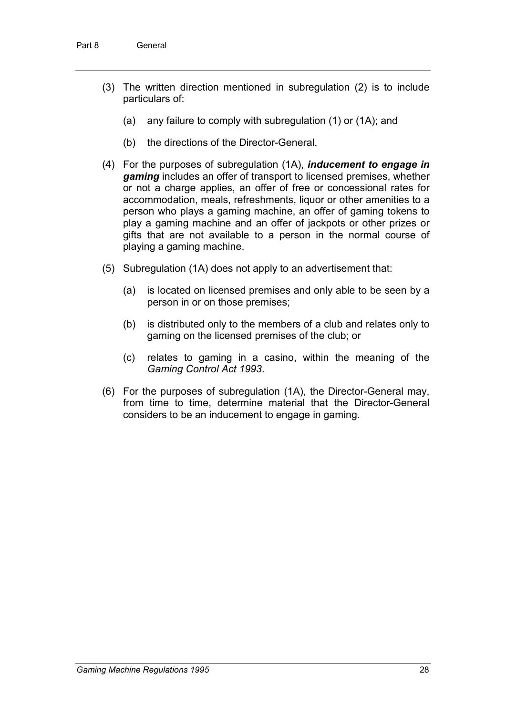- (3) The written direction mentioned in subregulation (2) is to include particulars of:
	- (a) any failure to comply with subregulation (1) or (1A); and
	- (b) the directions of the Director-General.
- (4) For the purposes of subregulation (1A), *inducement to engage in gaming* includes an offer of transport to licensed premises, whether or not a charge applies, an offer of free or concessional rates for accommodation, meals, refreshments, liquor or other amenities to a person who plays a gaming machine, an offer of gaming tokens to play a gaming machine and an offer of jackpots or other prizes or gifts that are not available to a person in the normal course of playing a gaming machine.
- (5) Subregulation (1A) does not apply to an advertisement that:
	- (a) is located on licensed premises and only able to be seen by a person in or on those premises;
	- (b) is distributed only to the members of a club and relates only to gaming on the licensed premises of the club; or
	- (c) relates to gaming in a casino, within the meaning of the *Gaming Control Act 1993*.
- (6) For the purposes of subregulation (1A), the Director-General may, from time to time, determine material that the Director-General considers to be an inducement to engage in gaming.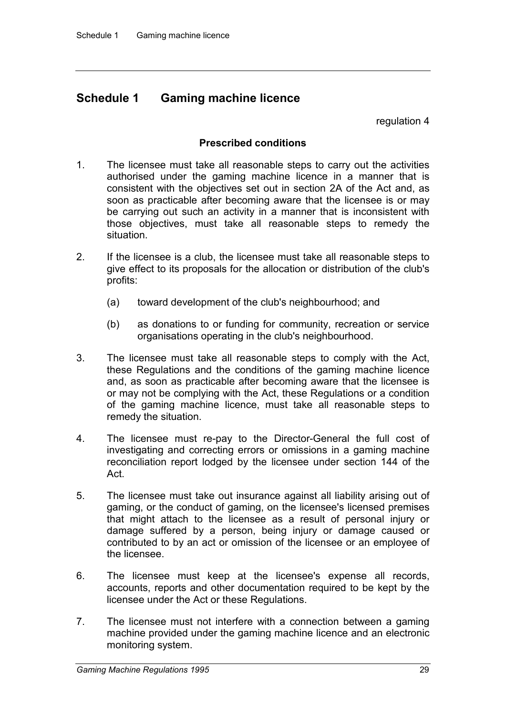# **Schedule 1 Gaming machine licence**

regulation 4

## **Prescribed conditions**

- 1. The licensee must take all reasonable steps to carry out the activities authorised under the gaming machine licence in a manner that is consistent with the objectives set out in section 2A of the Act and, as soon as practicable after becoming aware that the licensee is or may be carrying out such an activity in a manner that is inconsistent with those objectives, must take all reasonable steps to remedy the situation.
- 2. If the licensee is a club, the licensee must take all reasonable steps to give effect to its proposals for the allocation or distribution of the club's profits:
	- (a) toward development of the club's neighbourhood; and
	- (b) as donations to or funding for community, recreation or service organisations operating in the club's neighbourhood.
- 3. The licensee must take all reasonable steps to comply with the Act, these Regulations and the conditions of the gaming machine licence and, as soon as practicable after becoming aware that the licensee is or may not be complying with the Act, these Regulations or a condition of the gaming machine licence, must take all reasonable steps to remedy the situation.
- 4. The licensee must re-pay to the Director-General the full cost of investigating and correcting errors or omissions in a gaming machine reconciliation report lodged by the licensee under section 144 of the Act.
- 5. The licensee must take out insurance against all liability arising out of gaming, or the conduct of gaming, on the licensee's licensed premises that might attach to the licensee as a result of personal injury or damage suffered by a person, being injury or damage caused or contributed to by an act or omission of the licensee or an employee of the licensee.
- 6. The licensee must keep at the licensee's expense all records, accounts, reports and other documentation required to be kept by the licensee under the Act or these Regulations.
- 7. The licensee must not interfere with a connection between a gaming machine provided under the gaming machine licence and an electronic monitoring system.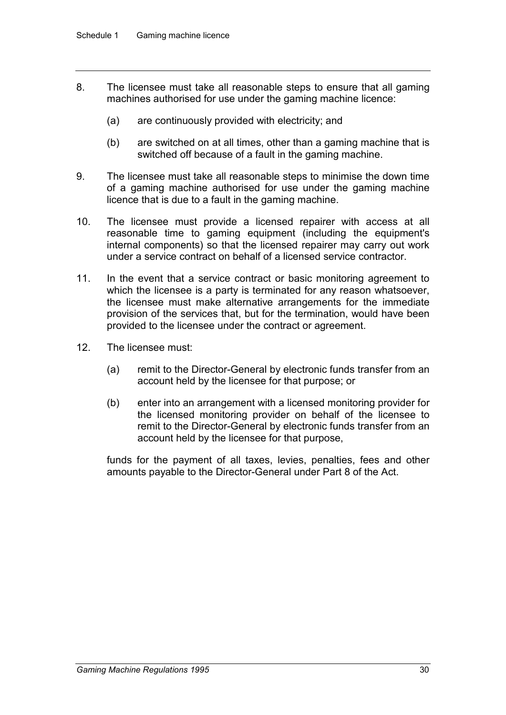- 8. The licensee must take all reasonable steps to ensure that all gaming machines authorised for use under the gaming machine licence:
	- (a) are continuously provided with electricity; and
	- (b) are switched on at all times, other than a gaming machine that is switched off because of a fault in the gaming machine.
- 9. The licensee must take all reasonable steps to minimise the down time of a gaming machine authorised for use under the gaming machine licence that is due to a fault in the gaming machine.
- 10. The licensee must provide a licensed repairer with access at all reasonable time to gaming equipment (including the equipment's internal components) so that the licensed repairer may carry out work under a service contract on behalf of a licensed service contractor.
- 11. In the event that a service contract or basic monitoring agreement to which the licensee is a party is terminated for any reason whatsoever, the licensee must make alternative arrangements for the immediate provision of the services that, but for the termination, would have been provided to the licensee under the contract or agreement.
- 12. The licensee must:
	- (a) remit to the Director-General by electronic funds transfer from an account held by the licensee for that purpose; or
	- (b) enter into an arrangement with a licensed monitoring provider for the licensed monitoring provider on behalf of the licensee to remit to the Director-General by electronic funds transfer from an account held by the licensee for that purpose,

funds for the payment of all taxes, levies, penalties, fees and other amounts payable to the Director-General under Part 8 of the Act.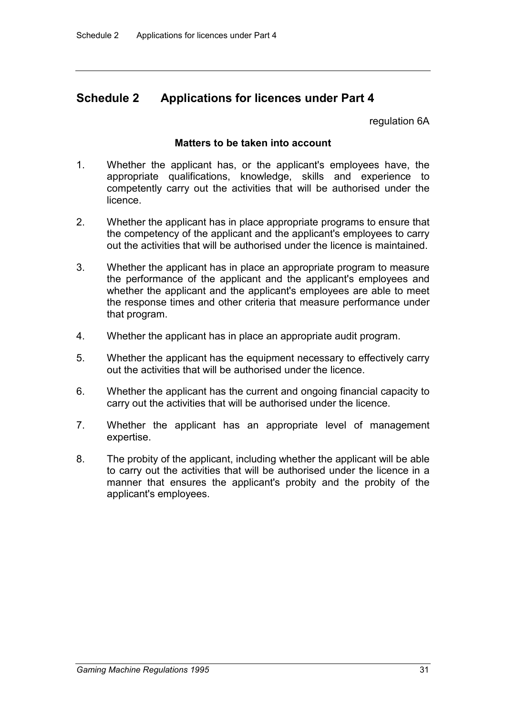# **Schedule 2 Applications for licences under Part 4**

regulation 6A

## **Matters to be taken into account**

- 1. Whether the applicant has, or the applicant's employees have, the appropriate qualifications, knowledge, skills and experience to competently carry out the activities that will be authorised under the licence.
- 2. Whether the applicant has in place appropriate programs to ensure that the competency of the applicant and the applicant's employees to carry out the activities that will be authorised under the licence is maintained.
- 3. Whether the applicant has in place an appropriate program to measure the performance of the applicant and the applicant's employees and whether the applicant and the applicant's employees are able to meet the response times and other criteria that measure performance under that program.
- 4. Whether the applicant has in place an appropriate audit program.
- 5. Whether the applicant has the equipment necessary to effectively carry out the activities that will be authorised under the licence.
- 6. Whether the applicant has the current and ongoing financial capacity to carry out the activities that will be authorised under the licence.
- 7. Whether the applicant has an appropriate level of management expertise.
- 8. The probity of the applicant, including whether the applicant will be able to carry out the activities that will be authorised under the licence in a manner that ensures the applicant's probity and the probity of the applicant's employees.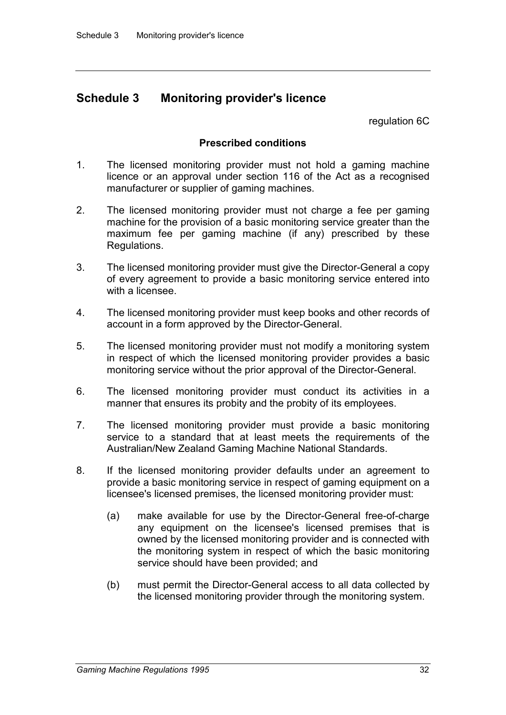# **Schedule 3 Monitoring provider's licence**

regulation 6C

## **Prescribed conditions**

- 1. The licensed monitoring provider must not hold a gaming machine licence or an approval under section 116 of the Act as a recognised manufacturer or supplier of gaming machines.
- 2. The licensed monitoring provider must not charge a fee per gaming machine for the provision of a basic monitoring service greater than the maximum fee per gaming machine (if any) prescribed by these Regulations.
- 3. The licensed monitoring provider must give the Director-General a copy of every agreement to provide a basic monitoring service entered into with a licensee.
- 4. The licensed monitoring provider must keep books and other records of account in a form approved by the Director-General.
- 5. The licensed monitoring provider must not modify a monitoring system in respect of which the licensed monitoring provider provides a basic monitoring service without the prior approval of the Director-General.
- 6. The licensed monitoring provider must conduct its activities in a manner that ensures its probity and the probity of its employees.
- 7. The licensed monitoring provider must provide a basic monitoring service to a standard that at least meets the requirements of the Australian/New Zealand Gaming Machine National Standards.
- 8. If the licensed monitoring provider defaults under an agreement to provide a basic monitoring service in respect of gaming equipment on a licensee's licensed premises, the licensed monitoring provider must:
	- (a) make available for use by the Director-General free-of-charge any equipment on the licensee's licensed premises that is owned by the licensed monitoring provider and is connected with the monitoring system in respect of which the basic monitoring service should have been provided; and
	- (b) must permit the Director-General access to all data collected by the licensed monitoring provider through the monitoring system.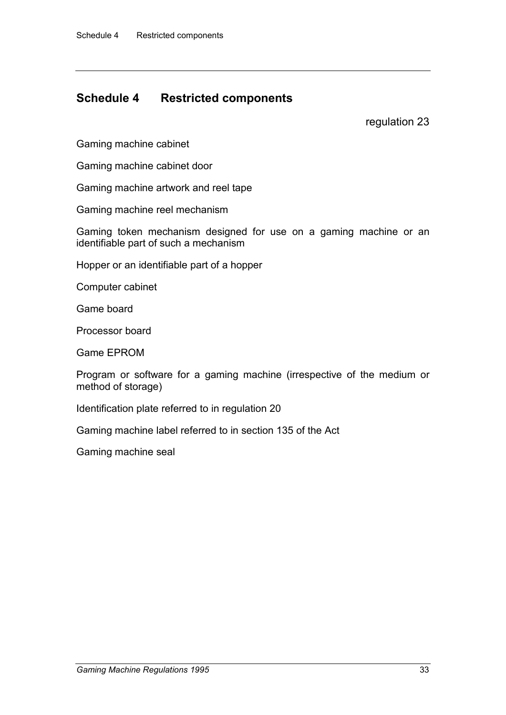# **Schedule 4 Restricted components**

regulation 23

Gaming machine cabinet

Gaming machine cabinet door

Gaming machine artwork and reel tape

Gaming machine reel mechanism

Gaming token mechanism designed for use on a gaming machine or an identifiable part of such a mechanism

Hopper or an identifiable part of a hopper

Computer cabinet

Game board

Processor board

Game EPROM

Program or software for a gaming machine (irrespective of the medium or method of storage)

Identification plate referred to in regulation 20

Gaming machine label referred to in section 135 of the Act

Gaming machine seal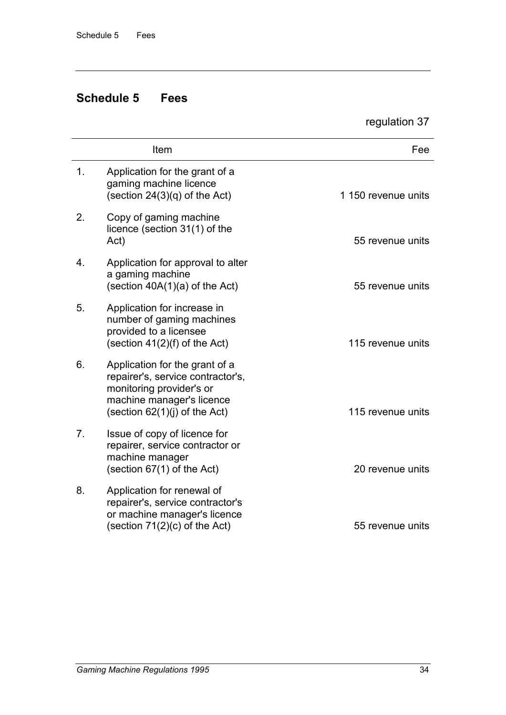# **Schedule 5 Fees**

regulation 37

|                | Item                                                                                                                                                            | Fee                 |
|----------------|-----------------------------------------------------------------------------------------------------------------------------------------------------------------|---------------------|
| 1.             | Application for the grant of a<br>gaming machine licence<br>(section $24(3)(q)$ of the Act)                                                                     | 1 150 revenue units |
| 2.             | Copy of gaming machine<br>licence (section 31(1) of the<br>Act)                                                                                                 | 55 revenue units    |
| 4.             | Application for approval to alter<br>a gaming machine<br>(section $40A(1)(a)$ of the Act)                                                                       | 55 revenue units    |
| 5.             | Application for increase in<br>number of gaming machines<br>provided to a licensee<br>(section $41(2)(f)$ of the Act)                                           | 115 revenue units   |
| 6.             | Application for the grant of a<br>repairer's, service contractor's,<br>monitoring provider's or<br>machine manager's licence<br>(section $62(1)(i)$ of the Act) | 115 revenue units   |
| 7 <sub>1</sub> | Issue of copy of licence for<br>repairer, service contractor or<br>machine manager<br>(section $67(1)$ of the Act)                                              | 20 revenue units    |
| 8.             | Application for renewal of<br>repairer's, service contractor's<br>or machine manager's licence<br>(section $71(2)(c)$ of the Act)                               | 55 revenue units    |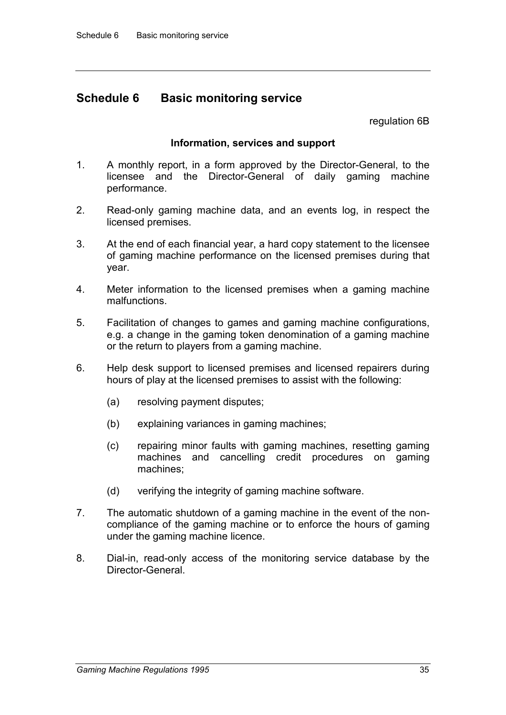# **Schedule 6 Basic monitoring service**

regulation 6B

#### **Information, services and support**

- 1. A monthly report, in a form approved by the Director-General, to the licensee and the Director-General of daily gaming machine performance.
- 2. Read-only gaming machine data, and an events log, in respect the licensed premises.
- 3. At the end of each financial year, a hard copy statement to the licensee of gaming machine performance on the licensed premises during that year.
- 4. Meter information to the licensed premises when a gaming machine malfunctions.
- 5. Facilitation of changes to games and gaming machine configurations, e.g. a change in the gaming token denomination of a gaming machine or the return to players from a gaming machine.
- 6. Help desk support to licensed premises and licensed repairers during hours of play at the licensed premises to assist with the following:
	- (a) resolving payment disputes;
	- (b) explaining variances in gaming machines;
	- (c) repairing minor faults with gaming machines, resetting gaming machines and cancelling credit procedures on gaming machines;
	- (d) verifying the integrity of gaming machine software.
- 7. The automatic shutdown of a gaming machine in the event of the noncompliance of the gaming machine or to enforce the hours of gaming under the gaming machine licence.
- 8. Dial-in, read-only access of the monitoring service database by the Director-General.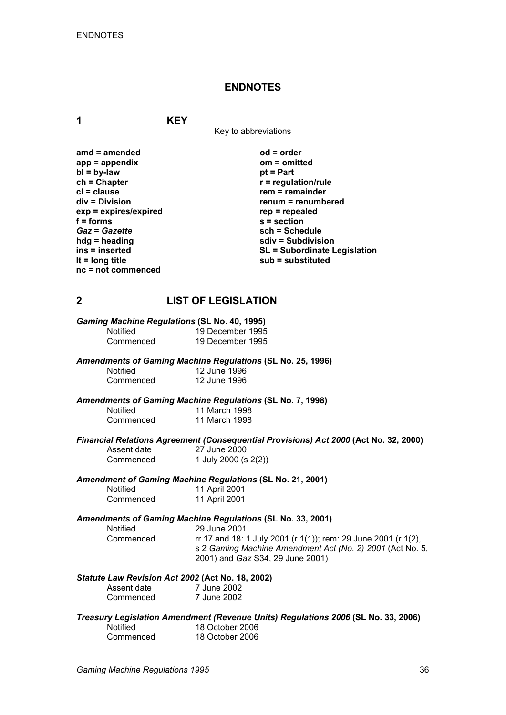#### **ENDNOTES**

**1 KEY**

Key to abbreviations

| $od = order$          |
|-----------------------|
| $om = omitted$        |
| $pt = Part$           |
| $r =$ regulation/ru   |
| $rem = remainder$     |
| $remum = remum$       |
| $rep = repeated$      |
| $s =$ section         |
| sch = Schedule        |
| sdiv = Subdivis       |
| <b>SL = Subordina</b> |
| $sub =$ substitut     |
|                       |
|                       |

**ch = Chapter r = regulation/rule cl = clause rem = remainder = renumbered**<br>epealed **Subdivision ins = inserted SL = Subordinate Legislation lt = long title sub = substituted**

## **2 LIST OF LEGISLATION**

| <b>Gaming Machine Regulations (SL No. 40, 1995)</b> |                  |
|-----------------------------------------------------|------------------|
| <b>Notified</b>                                     | 19 December 1995 |
| Commenced                                           | 19 December 1995 |

#### *Amendments of Gaming Machine Regulations* **(SL No. 25, 1996)**

| <b>Notified</b> | 12 June 1996 |
|-----------------|--------------|
| Commenced       | 12 June 1996 |

*Amendments of Gaming Machine Regulations* **(SL No. 7, 1998)**

| Notified  | 11 March 1998 |  |
|-----------|---------------|--|
| Commenced | 11 March 1998 |  |

# *Financial Relations Agreement (Consequential Provisions) Act 2000* **(Act No. 32, 2000)**

Assent date 27 June 2000<br>Commenced 1 July 2000 (s 1 July 2000 (s 2(2))

#### *Amendment of Gaming Machine Regulations* **(SL No. 21, 2001)**

| <b>Notified</b> | 11 April 2001 |
|-----------------|---------------|
| Commenced       | 11 April 2001 |

*Amendments of Gaming Machine Regulations* **(SL No. 33, 2001)**

29 June 2001 Commenced rr 17 and 18: 1 July 2001 (r 1(1)); rem: 29 June 2001 (r 1(2), s 2 *Gaming Machine Amendment Act (No. 2) 2001* (Act No. 5, 2001) and *Gaz* S34, 29 June 2001)

#### *Statute Law Revision Act 2002* **(Act No. 18, 2002)**

| Assent date | 7 June 2002 |
|-------------|-------------|
| Commenced   | 7 June 2002 |

*Treasury Legislation Amendment (Revenue Units) Regulations 2006* **(SL No. 33, 2006)** Notified 18 October 2006<br>Commenced 18 October 2006 18 October 2006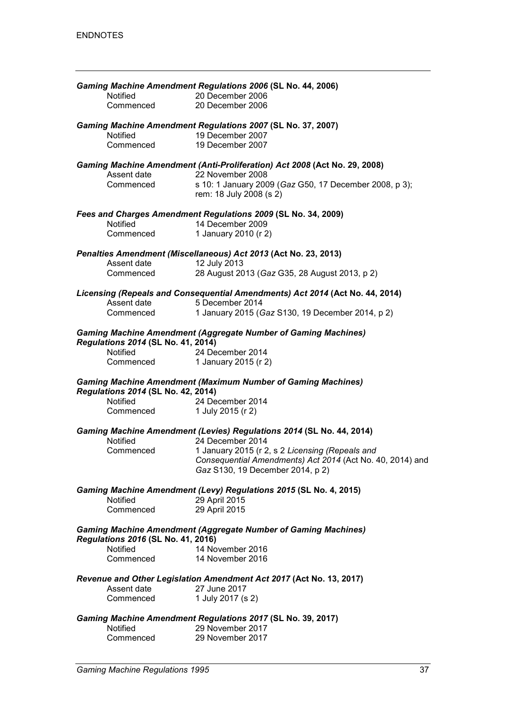|                                    | Gaming Machine Amendment Regulations 2006 (SL No. 44, 2006)                                     |
|------------------------------------|-------------------------------------------------------------------------------------------------|
| Notified                           | 20 December 2006                                                                                |
| Commenced                          | 20 December 2006                                                                                |
|                                    | Gaming Machine Amendment Regulations 2007 (SL No. 37, 2007)                                     |
| Notified                           | 19 December 2007                                                                                |
| Commenced                          | 19 December 2007                                                                                |
| Assent date                        | Gaming Machine Amendment (Anti-Proliferation) Act 2008 (Act No. 29, 2008)<br>22 November 2008   |
| Commenced                          | s 10: 1 January 2009 (Gaz G50, 17 December 2008, p 3);                                          |
|                                    | rem: 18 July 2008 (s 2)                                                                         |
|                                    | Fees and Charges Amendment Regulations 2009 (SL No. 34, 2009)                                   |
| Notified                           | 14 December 2009                                                                                |
| Commenced                          | 1 January 2010 (r 2)                                                                            |
|                                    | Penalties Amendment (Miscellaneous) Act 2013 (Act No. 23, 2013)                                 |
| Assent date                        | 12 July 2013                                                                                    |
| Commenced                          | 28 August 2013 (Gaz G35, 28 August 2013, p 2)                                                   |
| Assent date                        | Licensing (Repeals and Consequential Amendments) Act 2014 (Act No. 44, 2014)<br>5 December 2014 |
| Commenced                          | 1 January 2015 (Gaz S130, 19 December 2014, p 2)                                                |
|                                    |                                                                                                 |
| Regulations 2014 (SL No. 41, 2014) | <b>Gaming Machine Amendment (Aggregate Number of Gaming Machines)</b>                           |
| Notified                           | 24 December 2014                                                                                |
| Commenced                          | 1 January 2015 (r 2)                                                                            |
| Regulations 2014 (SL No. 42, 2014) | <b>Gaming Machine Amendment (Maximum Number of Gaming Machines)</b>                             |
| <b>Notified</b>                    | 24 December 2014                                                                                |
| Commenced                          | 1 July 2015 (r 2)                                                                               |
| Notified                           | Gaming Machine Amendment (Levies) Regulations 2014 (SL No. 44, 2014)<br>24 December 2014        |
| Commenced                          | 1 January 2015 (r 2, s 2 Licensing (Repeals and                                                 |
|                                    | Consequential Amendments) Act 2014 (Act No. 40, 2014) and<br>Gaz S130, 19 December 2014, p 2)   |
| Notified                           | Gaming Machine Amendment (Levy) Regulations 2015 (SL No. 4, 2015)<br>29 April 2015              |
| Commenced                          | 29 April 2015                                                                                   |
| Regulations 2016 (SL No. 41, 2016) | <b>Gaming Machine Amendment (Aggregate Number of Gaming Machines)</b>                           |
| Notified                           | 14 November 2016                                                                                |
| Commenced                          | 14 November 2016                                                                                |
|                                    | Revenue and Other Legislation Amendment Act 2017 (Act No. 13, 2017)                             |
| Assent date                        | 27 June 2017                                                                                    |
| Commenced                          | 1 July 2017 (s 2)                                                                               |
|                                    | Gaming Machine Amendment Regulations 2017 (SL No. 39, 2017)                                     |
| Notified                           | 29 November 2017                                                                                |
| Commenced                          | 29 November 2017                                                                                |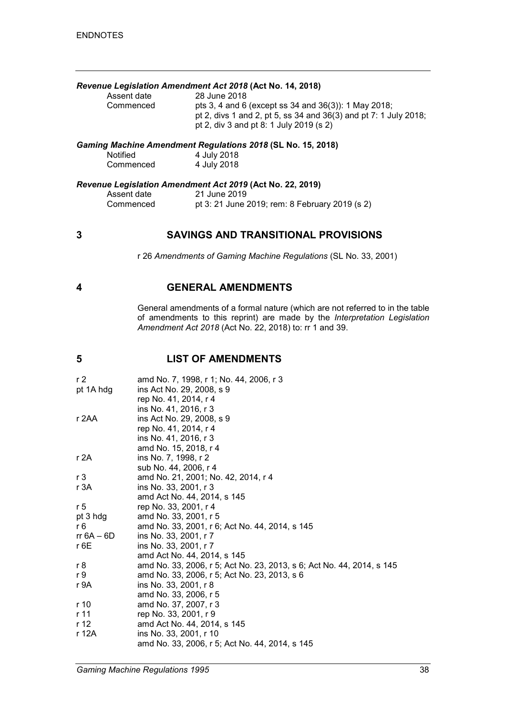#### *Revenue Legislation Amendment Act 2018* **(Act No. 14, 2018)**

| Assent date | 28 June 2018                                                     |
|-------------|------------------------------------------------------------------|
| Commenced   | pts 3, 4 and 6 (except ss 34 and 36(3)): 1 May 2018;             |
|             | pt 2, divs 1 and 2, pt 5, ss 34 and 36(3) and pt 7: 1 July 2018; |
|             | pt 2, div 3 and pt 8: 1 July 2019 (s 2)                          |
|             |                                                                  |

#### *Gaming Machine Amendment Regulations 2018* **(SL No. 15, 2018)**

| <b>Notified</b> | 4 July 2018 |
|-----------------|-------------|
| Commenced       | 4 July 2018 |

#### *Revenue Legislation Amendment Act 2019* **(Act No. 22, 2019)**

| Assent date | 21 June 2019                                   |
|-------------|------------------------------------------------|
| Commenced   | pt 3: 21 June 2019; rem: 8 February 2019 (s 2) |

#### **3 SAVINGS AND TRANSITIONAL PROVISIONS**

r 26 *Amendments of Gaming Machine Regulations* (SL No. 33, 2001)

#### **4 GENERAL AMENDMENTS**

General amendments of a formal nature (which are not referred to in the table of amendments to this reprint) are made by the *Interpretation Legislation Amendment Act 2018* (Act No. 22, 2018) to: rr 1 and 39.

## **5 LIST OF AMENDMENTS**

| r <sub>2</sub> | amd No. 7, 1998, r 1; No. 44, 2006, r 3                               |
|----------------|-----------------------------------------------------------------------|
| pt 1A hdg      | ins Act No. 29, 2008, s 9                                             |
|                | rep No. 41, 2014, r 4                                                 |
|                | ins No. 41, 2016, r 3                                                 |
| r 2AA          | ins Act No. 29, 2008, s 9                                             |
|                | rep No. 41, 2014, r 4                                                 |
|                | ins No. 41, 2016, r 3                                                 |
|                | amd No. 15, 2018, r 4                                                 |
| r 2A           | ins No. 7, 1998, r 2                                                  |
|                | sub No. 44, 2006, r 4                                                 |
| r <sub>3</sub> | amd No. 21, 2001; No. 42, 2014, r 4                                   |
| r 3A           | ins No. 33, 2001, r 3                                                 |
|                | amd Act No. 44, 2014, s 145                                           |
| r 5            | rep No. 33, 2001, r 4                                                 |
| pt 3 hdg       | amd No. 33, 2001, r 5                                                 |
| r 6            | amd No. 33, 2001, r 6; Act No. 44, 2014, s 145                        |
| rr $6A - 6D$   | ins No. 33, 2001, r 7                                                 |
| $r$ 6 $E$      | ins No. 33, 2001, r 7                                                 |
|                | amd Act No. 44, 2014, s 145                                           |
| r 8            | amd No. 33, 2006, r 5; Act No. 23, 2013, s 6; Act No. 44, 2014, s 145 |
| r 9            | amd No. 33, 2006, r 5; Act No. 23, 2013, s 6                          |
| r 9A           | ins No. 33, 2001, r 8                                                 |
|                | amd No. 33, 2006, r 5                                                 |
| r 10           | amd No. 37, 2007, r 3                                                 |
| r 11           | rep No. 33, 2001, r 9                                                 |
| r 12           | amd Act No. 44, 2014, s 145                                           |
| r 12A          | ins No. 33, 2001, r 10                                                |
|                | amd No. 33, 2006, r 5; Act No. 44, 2014, s 145                        |